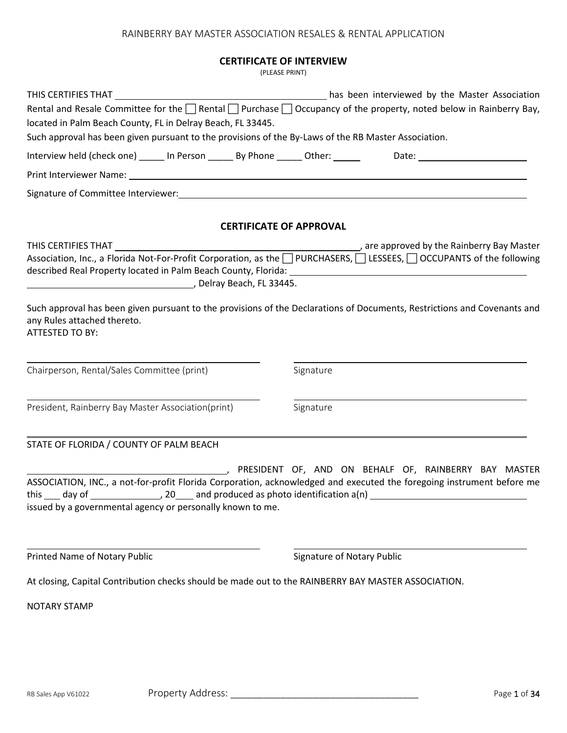#### **CERTIFICATE OF INTERVIEW**

(PLEASE PRINT)

|                                                                                                                                                    |                                |                                   | THIS CERTIFIES THAT CONTROLLED ASSOCIATION AND THIS CERTIFIES THAT CONTROLLED ASSOCIATION<br>Rental and Resale Committee for the $\Box$ Rental $\Box$ Purchase $\Box$ Occupancy of the property, noted below in Rainberry Bay, |
|----------------------------------------------------------------------------------------------------------------------------------------------------|--------------------------------|-----------------------------------|--------------------------------------------------------------------------------------------------------------------------------------------------------------------------------------------------------------------------------|
| located in Palm Beach County, FL in Delray Beach, FL 33445.                                                                                        |                                |                                   |                                                                                                                                                                                                                                |
| Such approval has been given pursuant to the provisions of the By-Laws of the RB Master Association.                                               |                                |                                   |                                                                                                                                                                                                                                |
|                                                                                                                                                    |                                |                                   | Interview held (check one) ______ In Person _______ By Phone ______ Other: ______ Date: _____________________                                                                                                                  |
|                                                                                                                                                    |                                |                                   |                                                                                                                                                                                                                                |
|                                                                                                                                                    |                                |                                   |                                                                                                                                                                                                                                |
|                                                                                                                                                    | <b>CERTIFICATE OF APPROVAL</b> |                                   |                                                                                                                                                                                                                                |
| Delray Beach, FL 33445.                                                                                                                            |                                |                                   | Association, Inc., a Florida Not-For-Profit Corporation, as the □ PURCHASERS, □ LESSEES, □ OCCUPANTS of the following                                                                                                          |
| any Rules attached thereto.<br>ATTESTED TO BY:                                                                                                     |                                |                                   | Such approval has been given pursuant to the provisions of the Declarations of Documents, Restrictions and Covenants and                                                                                                       |
| Chairperson, Rental/Sales Committee (print)                                                                                                        |                                | Signature                         |                                                                                                                                                                                                                                |
| President, Rainberry Bay Master Association(print)                                                                                                 |                                | Signature                         |                                                                                                                                                                                                                                |
| STATE OF FLORIDA / COUNTY OF PALM BEACH                                                                                                            |                                |                                   |                                                                                                                                                                                                                                |
| day of $\_\_\_\_\_\_$ 20 $\_\_\_\$ and produced as photo identification a(n)<br>this<br>issued by a governmental agency or personally known to me. |                                |                                   | PRESIDENT OF, AND ON BEHALF OF, RAINBERRY BAY MASTER<br>ASSOCIATION, INC., a not-for-profit Florida Corporation, acknowledged and executed the foregoing instrument before me                                                  |
| Printed Name of Notary Public                                                                                                                      |                                | <b>Signature of Notary Public</b> |                                                                                                                                                                                                                                |
| At closing, Capital Contribution checks should be made out to the RAINBERRY BAY MASTER ASSOCIATION.                                                |                                |                                   |                                                                                                                                                                                                                                |
| <b>NOTARY STAMP</b>                                                                                                                                |                                |                                   |                                                                                                                                                                                                                                |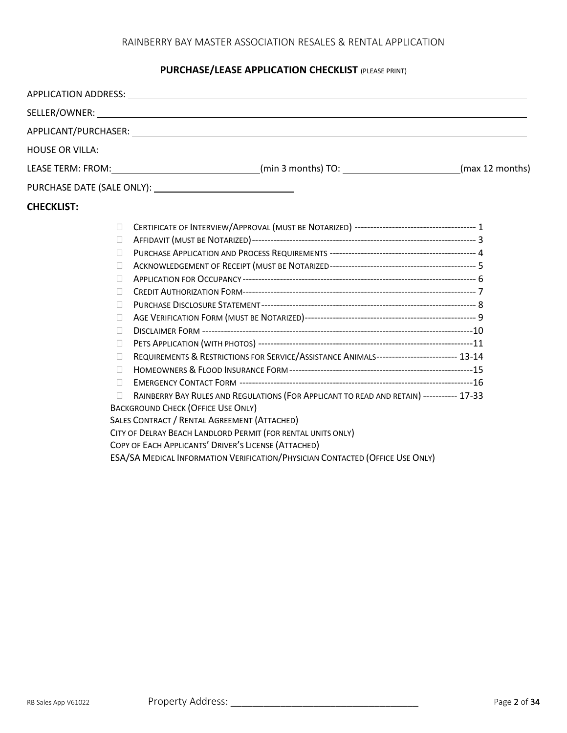## **PURCHASE/LEASE APPLICATION CHECKLIST** (PLEASE PRINT)

|                        | APPLICATION ADDRESS: Law and the contract of the contract of the contract of the contract of the contract of the contract of the contract of the contract of the contract of the contract of the contract of the contract of t |  |
|------------------------|--------------------------------------------------------------------------------------------------------------------------------------------------------------------------------------------------------------------------------|--|
|                        |                                                                                                                                                                                                                                |  |
|                        |                                                                                                                                                                                                                                |  |
| <b>HOUSE OR VILLA:</b> |                                                                                                                                                                                                                                |  |
|                        | LEASE TERM: FROM: ________________________________(min 3 months) TO: ________________________(max 12 months)                                                                                                                   |  |
|                        |                                                                                                                                                                                                                                |  |
| <b>CHECKLIST:</b>      |                                                                                                                                                                                                                                |  |
| $\Box$                 |                                                                                                                                                                                                                                |  |
| $\mathbb{R}^n$         |                                                                                                                                                                                                                                |  |
| $\Box$                 |                                                                                                                                                                                                                                |  |
| $\Box$                 |                                                                                                                                                                                                                                |  |
| $\Box$                 |                                                                                                                                                                                                                                |  |
| $\mathbb{R}^n$         |                                                                                                                                                                                                                                |  |
| $\Box$                 |                                                                                                                                                                                                                                |  |
| $\Box$                 |                                                                                                                                                                                                                                |  |
| $\Box$                 |                                                                                                                                                                                                                                |  |
| $\mathbb{R}$           |                                                                                                                                                                                                                                |  |
| $\Box$                 | REQUIREMENTS & RESTRICTIONS FOR SERVICE/ASSISTANCE ANIMALS-------------------------- 13-14                                                                                                                                     |  |
| $\Box$                 |                                                                                                                                                                                                                                |  |
| $\mathbb{R}^n$         |                                                                                                                                                                                                                                |  |
|                        | RAINBERRY BAY RULES AND REGULATIONS (FOR APPLICANT TO READ AND RETAIN) ----------- 17-33                                                                                                                                       |  |
|                        | <b>BACKGROUND CHECK (OFFICE USE ONLY)</b>                                                                                                                                                                                      |  |
|                        | SALES CONTRACT / RENTAL AGREEMENT (ATTACHED)                                                                                                                                                                                   |  |
|                        | CITY OF DELRAY BEACH LANDLORD PERMIT (FOR RENTAL UNITS ONLY)                                                                                                                                                                   |  |
|                        | COPY OF EACH APPLICANTS' DRIVER'S LICENSE (ATTACHED)                                                                                                                                                                           |  |
|                        | <b>ESA/SA MEDICAL INFORMATION VERIFICATION/PHYSICIAN CONTACTED (OFFICE USE ONLY)</b>                                                                                                                                           |  |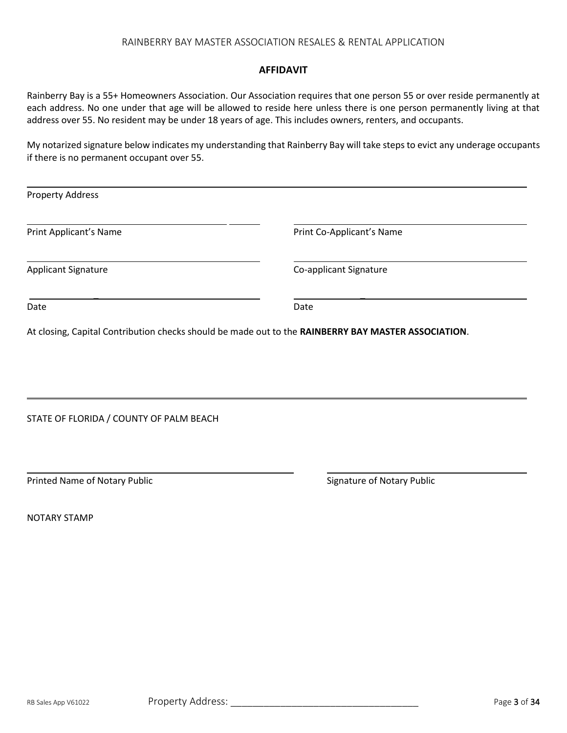#### **AFFIDAVIT**

Rainberry Bay is a 55+ Homeowners Association. Our Association requires that one person 55 or over reside permanently at each address. No one under that age will be allowed to reside here unless there is one person permanently living at that address over 55. No resident may be under 18 years of age. This includes owners, renters, and occupants.

My notarized signature below indicates my understanding that Rainberry Bay will take steps to evict any underage occupants if there is no permanent occupant over 55.

| <b>Property Address</b>    |                           |
|----------------------------|---------------------------|
| Print Applicant's Name     | Print Co-Applicant's Name |
| <b>Applicant Signature</b> | Co-applicant Signature    |
| Date                       | Date                      |

At closing, Capital Contribution checks should be made out to the **RAINBERRY BAY MASTER ASSOCIATION**.

STATE OF FLORIDA / COUNTY OF PALM BEACH

Printed Name of Notary Public **Signature of Notary Public** Signature of Notary Public

NOTARY STAMP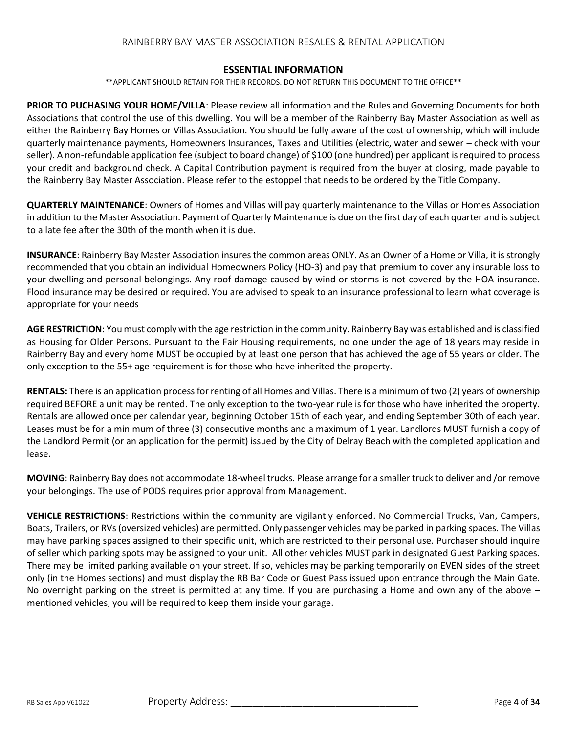#### **ESSENTIAL INFORMATION**

\*\*APPLICANT SHOULD RETAIN FOR THEIR RECORDS. DO NOT RETURN THIS DOCUMENT TO THE OFFICE\*\*

**PRIOR TO PUCHASING YOUR HOME/VILLA**: Please review all information and the Rules and Governing Documents for both Associations that control the use of this dwelling. You will be a member of the Rainberry Bay Master Association as well as either the Rainberry Bay Homes or Villas Association. You should be fully aware of the cost of ownership, which will include quarterly maintenance payments, Homeowners Insurances, Taxes and Utilities (electric, water and sewer – check with your seller). A non-refundable application fee (subject to board change) of \$100 (one hundred) per applicant is required to process your credit and background check. A Capital Contribution payment is required from the buyer at closing, made payable to the Rainberry Bay Master Association. Please refer to the estoppel that needs to be ordered by the Title Company.

**QUARTERLY MAINTENANCE**: Owners of Homes and Villas will pay quarterly maintenance to the Villas or Homes Association in addition to the Master Association. Payment of Quarterly Maintenance is due on the first day of each quarter and is subject to a late fee after the 30th of the month when it is due.

**INSURANCE**: Rainberry Bay Master Association insures the common areas ONLY. As an Owner of a Home or Villa, it is strongly recommended that you obtain an individual Homeowners Policy (HO-3) and pay that premium to cover any insurable loss to your dwelling and personal belongings. Any roof damage caused by wind or storms is not covered by the HOA insurance. Flood insurance may be desired or required. You are advised to speak to an insurance professional to learn what coverage is appropriate for your needs

**AGE RESTRICTION**: You must comply with the age restriction in the community. Rainberry Bay was established and is classified as Housing for Older Persons. Pursuant to the Fair Housing requirements, no one under the age of 18 years may reside in Rainberry Bay and every home MUST be occupied by at least one person that has achieved the age of 55 years or older. The only exception to the 55+ age requirement is for those who have inherited the property.

**RENTALS:** There is an application process for renting of all Homes and Villas. There is a minimum of two (2) years of ownership required BEFORE a unit may be rented. The only exception to the two-year rule is for those who have inherited the property. Rentals are allowed once per calendar year, beginning October 15th of each year, and ending September 30th of each year. Leases must be for a minimum of three (3) consecutive months and a maximum of 1 year. Landlords MUST furnish a copy of the Landlord Permit (or an application for the permit) issued by the City of Delray Beach with the completed application and lease.

**MOVING**: Rainberry Bay does not accommodate 18-wheel trucks. Please arrange for a smaller truck to deliver and /or remove your belongings. The use of PODS requires prior approval from Management.

**VEHICLE RESTRICTIONS**: Restrictions within the community are vigilantly enforced. No Commercial Trucks, Van, Campers, Boats, Trailers, or RVs (oversized vehicles) are permitted. Only passenger vehicles may be parked in parking spaces. The Villas may have parking spaces assigned to their specific unit, which are restricted to their personal use. Purchaser should inquire of seller which parking spots may be assigned to your unit. All other vehicles MUST park in designated Guest Parking spaces. There may be limited parking available on your street. If so, vehicles may be parking temporarily on EVEN sides of the street only (in the Homes sections) and must display the RB Bar Code or Guest Pass issued upon entrance through the Main Gate. No overnight parking on the street is permitted at any time. If you are purchasing a Home and own any of the above – mentioned vehicles, you will be required to keep them inside your garage.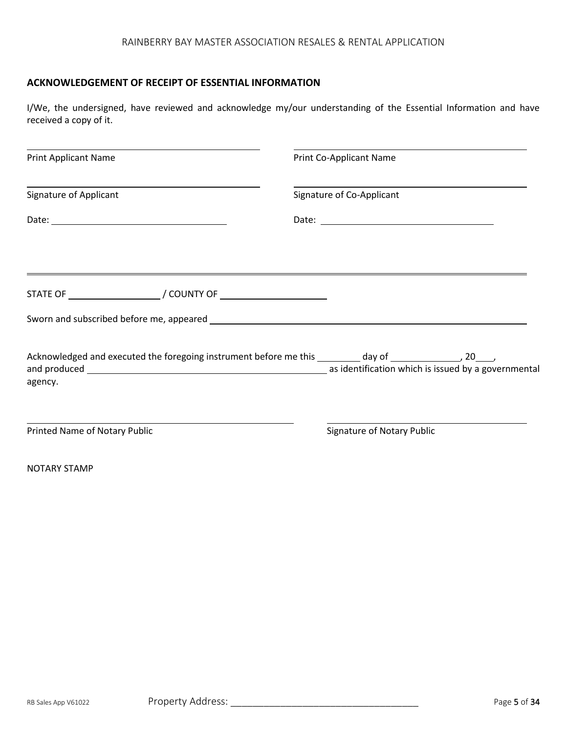### **ACKNOWLEDGEMENT OF RECEIPT OF ESSENTIAL INFORMATION**

I/We, the undersigned, have reviewed and acknowledge my/our understanding of the Essential Information and have received a copy of it.

| <b>Print Applicant Name</b>                                                | Print Co-Applicant Name                                                                                      |
|----------------------------------------------------------------------------|--------------------------------------------------------------------------------------------------------------|
| <b>Signature of Applicant</b>                                              | Signature of Co-Applicant                                                                                    |
|                                                                            |                                                                                                              |
|                                                                            | ,我们也不会有什么?""我们的人,我们也不会有什么?""我们的人,我们也不会有什么?""我们的人,我们也不会有什么?""我们的人,我们也不会有什么?""我们的人                             |
| STATE OF __________________________/ COUNTY OF ___________________________ |                                                                                                              |
|                                                                            |                                                                                                              |
| agency.                                                                    | Acknowledged and executed the foregoing instrument before me this ________ day of _________________, 20____, |
| Printed Name of Notary Public                                              | <b>Signature of Notary Public</b>                                                                            |
| <b>NOTARY STAMP</b>                                                        |                                                                                                              |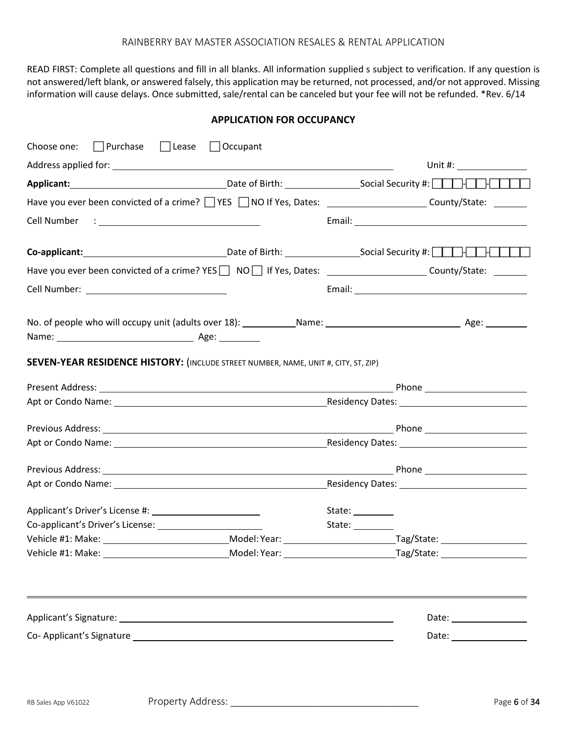READ FIRST: Complete all questions and fill in all blanks. All information supplied s subject to verification. If any question is not answered/left blank, or answered falsely, this application may be returned, not processed, and/or not approved. Missing information will cause delays. Once submitted, sale/rental can be canceled but your fee will not be refunded. \*Rev. 6/14

**APPLICATION FOR OCCUPANCY**

| Choose one: $\Box$ Purchase $\Box$ Lease $\Box$ Occupant                                                                                                                                                                       |                  |                                  |
|--------------------------------------------------------------------------------------------------------------------------------------------------------------------------------------------------------------------------------|------------------|----------------------------------|
|                                                                                                                                                                                                                                |                  | Unit #: $\_$                     |
| Applicant: 1990 Contract Contract Contract Contract Contract Contract Contract Contract Contract Contract Contract Contract Contract Contract Contract Contract Contract Contract Contract Contract Contract Contract Contract |                  |                                  |
| Have you ever been convicted of a crime? T YES T NO If Yes, Dates: T All Allen Markey County/State: The County of the County of the County of the County of the County of the County of the County of the County of the County |                  |                                  |
|                                                                                                                                                                                                                                |                  |                                  |
| Co-applicant: 1000 Date of Birth: 1000 Social Security #: 1000 Publicant:                                                                                                                                                      |                  |                                  |
| Have you ever been convicted of a crime? YES   NO   If Yes, Dates: _______________________County/State: ______                                                                                                                 |                  |                                  |
|                                                                                                                                                                                                                                |                  |                                  |
|                                                                                                                                                                                                                                |                  |                                  |
| SEVEN-YEAR RESIDENCE HISTORY: (INCLUDE STREET NUMBER, NAME, UNIT #, CITY, ST, ZIP)                                                                                                                                             |                  |                                  |
|                                                                                                                                                                                                                                |                  |                                  |
|                                                                                                                                                                                                                                |                  |                                  |
|                                                                                                                                                                                                                                |                  |                                  |
|                                                                                                                                                                                                                                |                  |                                  |
|                                                                                                                                                                                                                                |                  |                                  |
|                                                                                                                                                                                                                                |                  |                                  |
|                                                                                                                                                                                                                                | State:           |                                  |
|                                                                                                                                                                                                                                | State: _________ |                                  |
|                                                                                                                                                                                                                                |                  |                                  |
|                                                                                                                                                                                                                                |                  |                                  |
|                                                                                                                                                                                                                                |                  | Date: <u>___________________</u> |
| Co-Applicant's Signature Law and Contract and Contract and Contract and Contract and Contract and Contract and Contract and Contract and Contract and Contract and Contract and Contract and Contract and Contract and Contrac |                  |                                  |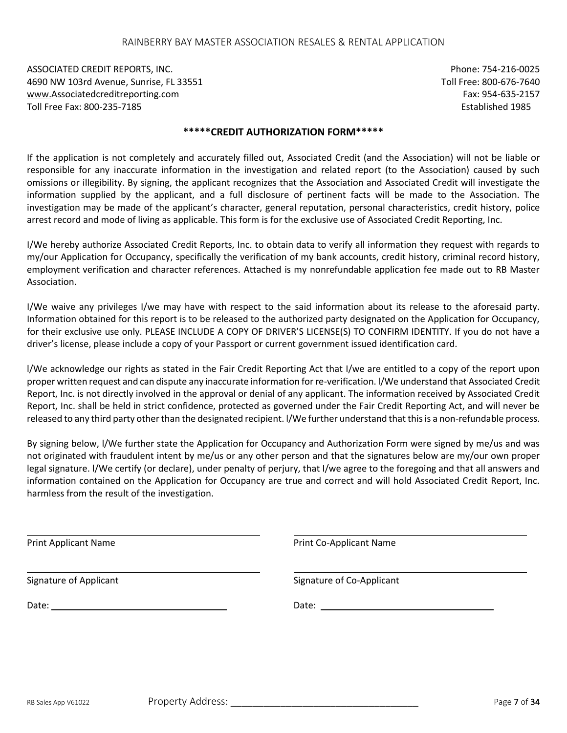ASSOCIATED CREDIT REPORTS, INC. Phone: 754-216-0025 4690 NW 103rd Avenue, Sunrise, FL 33551 Toll Free: 800-676-7640 [www.A](http://www/)ssociatedcreditreporting.com example and the state of the state of the state of the state of the state of the state of the state of the state of the state of the state of the state of the state of the state of the sta Toll Free Fax: 800-235-7185 Established 1985

#### **\*\*\*\*\*CREDIT AUTHORIZATION FORM\*\*\*\*\***

If the application is not completely and accurately filled out, Associated Credit (and the Association) will not be liable or responsible for any inaccurate information in the investigation and related report (to the Association) caused by such omissions or illegibility. By signing, the applicant recognizes that the Association and Associated Credit will investigate the information supplied by the applicant, and a full disclosure of pertinent facts will be made to the Association. The investigation may be made of the applicant's character, general reputation, personal characteristics, credit history, police arrest record and mode of living as applicable. This form is for the exclusive use of Associated Credit Reporting, Inc.

I/We hereby authorize Associated Credit Reports, Inc. to obtain data to verify all information they request with regards to my/our Application for Occupancy, specifically the verification of my bank accounts, credit history, criminal record history, employment verification and character references. Attached is my nonrefundable application fee made out to RB Master Association.

I/We waive any privileges I/we may have with respect to the said information about its release to the aforesaid party. Information obtained for this report is to be released to the authorized party designated on the Application for Occupancy, for their exclusive use only. PLEASE INCLUDE A COPY OF DRIVER'S LICENSE(S) TO CONFIRM IDENTITY. If you do not have a driver's license, please include a copy of your Passport or current government issued identification card.

l/We acknowledge our rights as stated in the Fair Credit Reporting Act that I/we are entitled to a copy of the report upon proper written request and can dispute any inaccurate information for re-verification. l/We understand that Associated Credit Report, Inc. is not directly involved in the approval or denial of any applicant. The information received by Associated Credit Report, Inc. shall be held in strict confidence, protected as governed under the Fair Credit Reporting Act, and will never be released to any third party other than the designated recipient. l/We further understand that this is a non-refundable process.

By signing below, l/We further state the Application for Occupancy and Authorization Form were signed by me/us and was not originated with fraudulent intent by me/us or any other person and that the signatures below are my/our own proper legal signature. l/We certify (or declare), under penalty of perjury, that I/we agree to the foregoing and that all answers and information contained on the Application for Occupancy are true and correct and will hold Associated Credit Report, Inc. harmless from the result of the investigation.

| Print Co-Applicant Name   |  |
|---------------------------|--|
| Signature of Co-Applicant |  |
|                           |  |
|                           |  |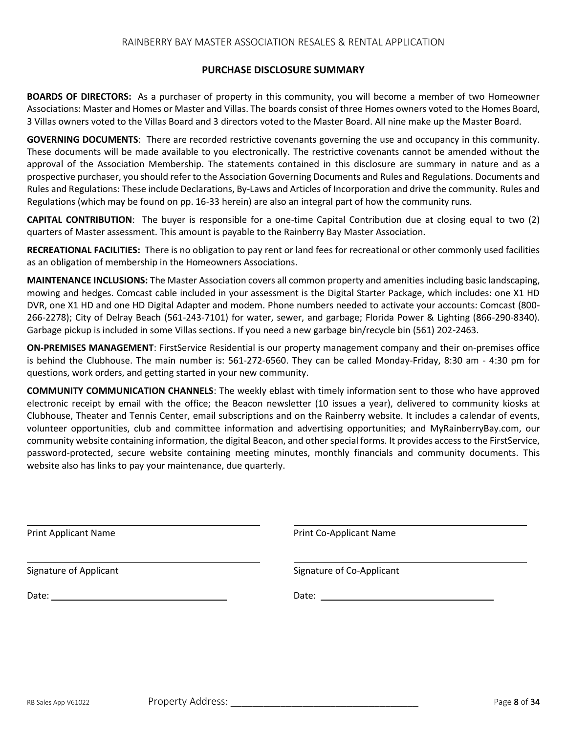#### **PURCHASE DISCLOSURE SUMMARY**

**BOARDS OF DIRECTORS:** As a purchaser of property in this community, you will become a member of two Homeowner Associations: Master and Homes or Master and Villas. The boards consist of three Homes owners voted to the Homes Board, 3 Villas owners voted to the Villas Board and 3 directors voted to the Master Board. All nine make up the Master Board.

**GOVERNING DOCUMENTS**: There are recorded restrictive covenants governing the use and occupancy in this community. These documents will be made available to you electronically. The restrictive covenants cannot be amended without the approval of the Association Membership. The statements contained in this disclosure are summary in nature and as a prospective purchaser, you should refer to the Association Governing Documents and Rules and Regulations. Documents and Rules and Regulations: These include Declarations, By-Laws and Articles of Incorporation and drive the community. Rules and Regulations (which may be found on pp. 16-33 herein) are also an integral part of how the community runs.

**CAPITAL CONTRIBUTION**: The buyer is responsible for a one-time Capital Contribution due at closing equal to two (2) quarters of Master assessment. This amount is payable to the Rainberry Bay Master Association.

**RECREATIONAL FACILITIES:** There is no obligation to pay rent or land fees for recreational or other commonly used facilities as an obligation of membership in the Homeowners Associations.

**MAINTENANCE INCLUSIONS:** The Master Association covers all common property and amenities including basic landscaping, mowing and hedges. Comcast cable included in your assessment is the Digital Starter Package, which includes: one X1 HD DVR, one X1 HD and one HD Digital Adapter and modem. Phone numbers needed to activate your accounts: Comcast (800- 266-2278); City of Delray Beach (561-243-7101) for water, sewer, and garbage; Florida Power & Lighting (866-290-8340). Garbage pickup is included in some Villas sections. If you need a new garbage bin/recycle bin (561) 202-2463.

**ON-PREMISES MANAGEMENT**: FirstService Residential is our property management company and their on-premises office is behind the Clubhouse. The main number is: 561-272-6560. They can be called Monday-Friday, 8:30 am - 4:30 pm for questions, work orders, and getting started in your new community.

**COMMUNITY COMMUNICATION CHANNELS**: The weekly eblast with timely information sent to those who have approved electronic receipt by email with the office; the Beacon newsletter (10 issues a year), delivered to community kiosks at Clubhouse, Theater and Tennis Center, email subscriptions and on the Rainberry website. It includes a calendar of events, volunteer opportunities, club and committee information and advertising opportunities; and MyRainberryBay.com, our community website containing information, the digital Beacon, and other special forms. It provides access to the FirstService, password-protected, secure website containing meeting minutes, monthly financials and community documents. This website also has links to pay your maintenance, due quarterly.

| <b>Print Applicant Name</b> | Print Co-Applicant Name   |  |
|-----------------------------|---------------------------|--|
| Signature of Applicant      | Signature of Co-Applicant |  |
|                             |                           |  |
|                             |                           |  |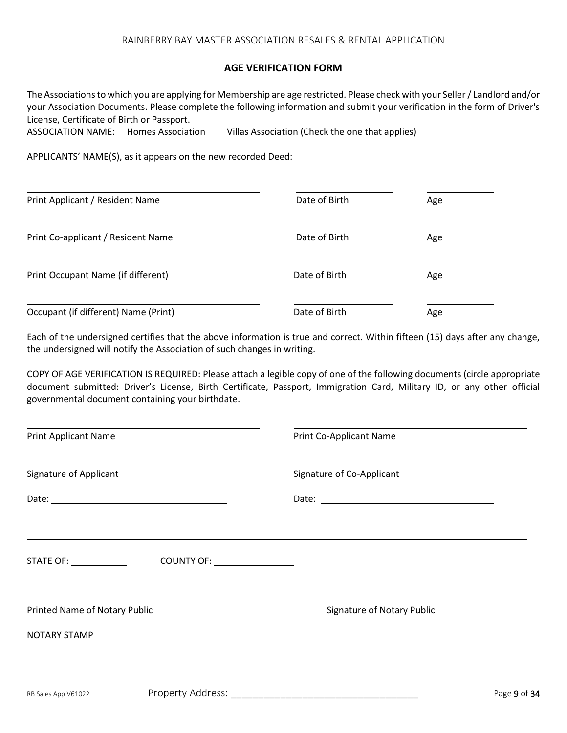#### **AGE VERIFICATION FORM**

The Associations to which you are applying for Membership are age restricted. Please check with your Seller / Landlord and/or your Association Documents. Please complete the following information and submit your verification in the form of Driver's License, Certificate of Birth or Passport.

| ASSOCIATION NAME: Homes Association |  | Villas Association (Check the one that applies) |
|-------------------------------------|--|-------------------------------------------------|
|-------------------------------------|--|-------------------------------------------------|

APPLICANTS' NAME(S), as it appears on the new recorded Deed:

| Print Applicant / Resident Name      | Date of Birth | Age |
|--------------------------------------|---------------|-----|
| Print Co-applicant / Resident Name   | Date of Birth | Age |
| Print Occupant Name (if different)   | Date of Birth | Age |
| Occupant (if different) Name (Print) | Date of Birth | Age |

Each of the undersigned certifies that the above information is true and correct. Within fifteen (15) days after any change, the undersigned will notify the Association of such changes in writing.

COPY OF AGE VERIFICATION IS REQUIRED: Please attach a legible copy of one of the following documents (circle appropriate document submitted: Driver's License, Birth Certificate, Passport, Immigration Card, Military ID, or any other official governmental document containing your birthdate.

| <b>Print Applicant Name</b>   |                               | Print Co-Applicant Name           |              |  |
|-------------------------------|-------------------------------|-----------------------------------|--------------|--|
| <b>Signature of Applicant</b> |                               | Signature of Co-Applicant         |              |  |
|                               |                               |                                   |              |  |
|                               | COUNTY OF: _________________  |                                   |              |  |
| Printed Name of Notary Public |                               | <b>Signature of Notary Public</b> |              |  |
| <b>NOTARY STAMP</b>           |                               |                                   |              |  |
| RB Sales App V61022           | Property Address: ___________ |                                   | Page 9 of 34 |  |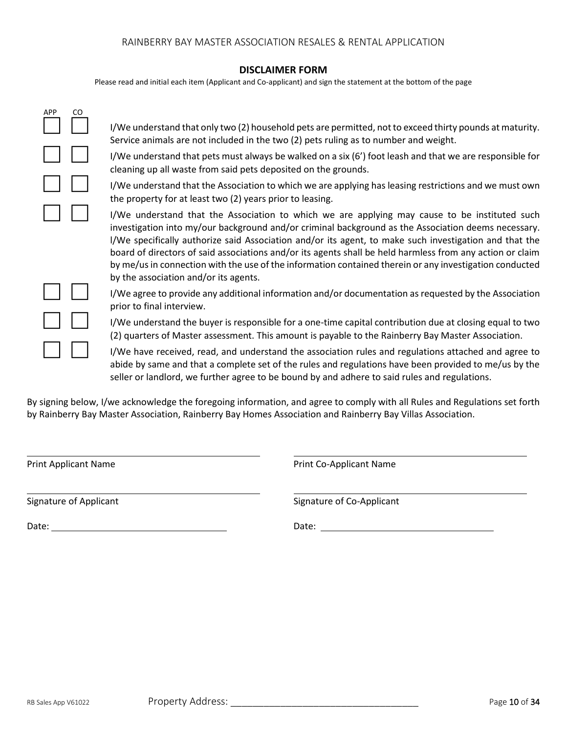#### **DISCLAIMER FORM**

Please read and initial each item (Applicant and Co-applicant) and sign the statement at the bottom of the page

| <b>APP</b> | CO | I/We understand that only two (2) household pets are permitted, not to exceed thirty pounds at maturity.<br>Service animals are not included in the two (2) pets ruling as to number and weight.                                                                                                                                                                                                                                                                                                                                                                                |
|------------|----|---------------------------------------------------------------------------------------------------------------------------------------------------------------------------------------------------------------------------------------------------------------------------------------------------------------------------------------------------------------------------------------------------------------------------------------------------------------------------------------------------------------------------------------------------------------------------------|
|            |    | I/We understand that pets must always be walked on a six (6') foot leash and that we are responsible for<br>cleaning up all waste from said pets deposited on the grounds.                                                                                                                                                                                                                                                                                                                                                                                                      |
|            |    | I/We understand that the Association to which we are applying has leasing restrictions and we must own<br>the property for at least two (2) years prior to leasing.                                                                                                                                                                                                                                                                                                                                                                                                             |
|            |    | I/We understand that the Association to which we are applying may cause to be instituted such<br>investigation into my/our background and/or criminal background as the Association deems necessary.<br>l/We specifically authorize said Association and/or its agent, to make such investigation and that the<br>board of directors of said associations and/or its agents shall be held harmless from any action or claim<br>by me/us in connection with the use of the information contained therein or any investigation conducted<br>by the association and/or its agents. |
|            |    | I/We agree to provide any additional information and/or documentation as requested by the Association<br>prior to final interview.                                                                                                                                                                                                                                                                                                                                                                                                                                              |
|            |    | I/We understand the buyer is responsible for a one-time capital contribution due at closing equal to two<br>(2) quarters of Master assessment. This amount is payable to the Rainberry Bay Master Association.                                                                                                                                                                                                                                                                                                                                                                  |
|            |    | I/We have received, read, and understand the association rules and regulations attached and agree to<br>abide by same and that a complete set of the rules and regulations have been provided to me/us by the<br>seller or landlord, we further agree to be bound by and adhere to said rules and regulations.                                                                                                                                                                                                                                                                  |

By signing below, I/we acknowledge the foregoing information, and agree to comply with all Rules and Regulations set forth by Rainberry Bay Master Association, Rainberry Bay Homes Association and Rainberry Bay Villas Association.

Print Applicant Name **Print Co-Applicant Name** 

Signature of Applicant Signature of Co-Applicant

Date: Date: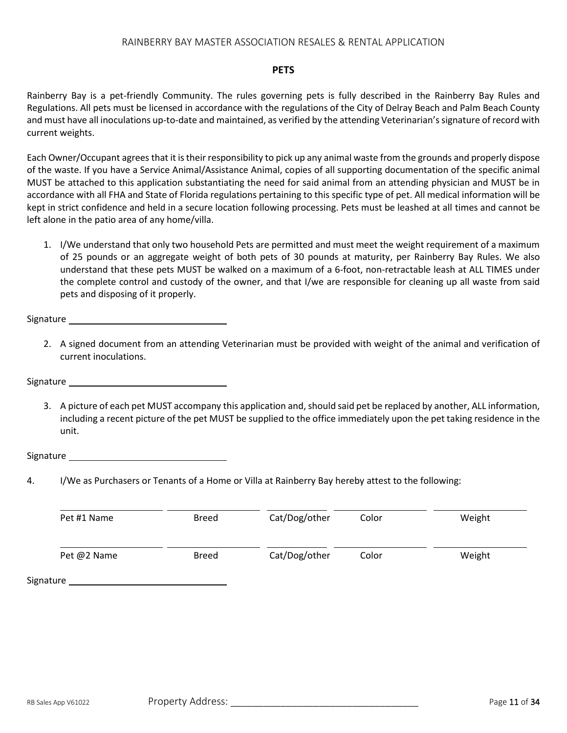#### **PETS**

Rainberry Bay is a pet-friendly Community. The rules governing pets is fully described in the Rainberry Bay Rules and Regulations. All pets must be licensed in accordance with the regulations of the City of Delray Beach and Palm Beach County and must have all inoculations up-to-date and maintained, as verified by the attending Veterinarian's signature of record with current weights.

Each Owner/Occupant agrees that it is their responsibility to pick up any animal waste from the grounds and properly dispose of the waste. If you have a Service Animal/Assistance Animal, copies of all supporting documentation of the specific animal MUST be attached to this application substantiating the need for said animal from an attending physician and MUST be in accordance with all FHA and State of Florida regulations pertaining to this specific type of pet. All medical information will be kept in strict confidence and held in a secure location following processing. Pets must be leashed at all times and cannot be left alone in the patio area of any home/villa.

1. I/We understand that only two household Pets are permitted and must meet the weight requirement of a maximum of 25 pounds or an aggregate weight of both pets of 30 pounds at maturity, per Rainberry Bay Rules. We also understand that these pets MUST be walked on a maximum of a 6-foot, non-retractable leash at ALL TIMES under the complete control and custody of the owner, and that I/we are responsible for cleaning up all waste from said pets and disposing of it properly.

Signature and the state of the state of the state of the state of the state of the state of the state of the state of the state of the state of the state of the state of the state of the state of the state of the state of

2. A signed document from an attending Veterinarian must be provided with weight of the animal and verification of current inoculations.

**Signature** 

3. A picture of each pet MUST accompany this application and, should said pet be replaced by another, ALL information, including a recent picture of the pet MUST be supplied to the office immediately upon the pet taking residence in the unit.

Signature and the state of the state of the state of the state of the state of the state of the state of the state of the state of the state of the state of the state of the state of the state of the state of the state of

4. I/We as Purchasers or Tenants of a Home or Villa at Rainberry Bay hereby attest to the following:

| Pet #1 Name | <b>Breed</b> | Cat/Dog/other | Color | Weight |
|-------------|--------------|---------------|-------|--------|
| Pet @2 Name | <b>Breed</b> | Cat/Dog/other | Color | Weight |
| Signature   |              |               |       |        |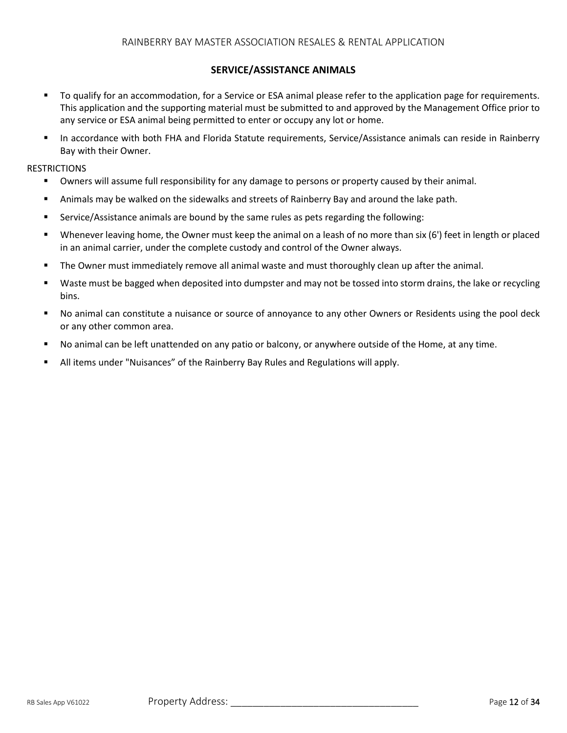#### **SERVICE/ASSISTANCE ANIMALS**

- To qualify for an accommodation, for a Service or ESA animal please refer to the application page for requirements. This application and the supporting material must be submitted to and approved by the Management Office prior to any service or ESA animal being permitted to enter or occupy any lot or home.
- In accordance with both FHA and Florida Statute requirements, Service/Assistance animals can reside in Rainberry Bay with their Owner.

#### **RESTRICTIONS**

- Owners will assume full responsibility for any damage to persons or property caused by their animal.
- **E** Animals may be walked on the sidewalks and streets of Rainberry Bay and around the lake path.
- Service/Assistance animals are bound by the same rules as pets regarding the following:
- Whenever leaving home, the Owner must keep the animal on a leash of no more than six (6') feet in length or placed in an animal carrier, under the complete custody and control of the Owner always.
- The Owner must immediately remove all animal waste and must thoroughly clean up after the animal.
- Waste must be bagged when deposited into dumpster and may not be tossed into storm drains, the lake or recycling bins.
- No animal can constitute a nuisance or source of annoyance to any other Owners or Residents using the pool deck or any other common area.
- No animal can be left unattended on any patio or balcony, or anywhere outside of the Home, at any time.
- **E** All items under "Nuisances" of the Rainberry Bay Rules and Regulations will apply.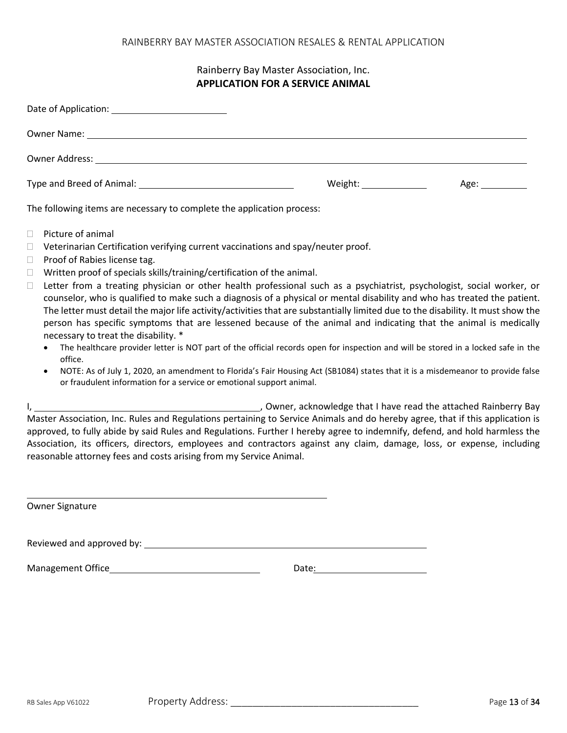## Rainberry Bay Master Association, Inc. **APPLICATION FOR A SERVICE ANIMAL**

| Owner Name: 1988 and 2008 and 2008 and 2008 and 2008 and 2008 and 2008 and 2008 and 2008 and 2008 and 2008 and 2008 and 2008 and 2008 and 2008 and 2008 and 2008 and 2008 and 2008 and 2008 and 2008 and 2008 and 2008 and 200 |                           |                                                                                                                |
|--------------------------------------------------------------------------------------------------------------------------------------------------------------------------------------------------------------------------------|---------------------------|----------------------------------------------------------------------------------------------------------------|
|                                                                                                                                                                                                                                |                           |                                                                                                                |
|                                                                                                                                                                                                                                | Weight: _________________ | Age: and the set of the set of the set of the set of the set of the set of the set of the set of the set of th |
| the contract of the contract of the contract of the contract of the contract of the contract of the contract of<br>$-1$ $-1$ $-1$ $-1$                                                                                         |                           |                                                                                                                |

The following items are necessary to complete the application process:

- $\Box$  Picture of animal
- $\Box$  Veterinarian Certification verifying current vaccinations and spay/neuter proof.
- **Proof of Rabies license tag.**
- $\Box$  Written proof of specials skills/training/certification of the animal.
- $\Box$  Letter from a treating physician or other health professional such as a psychiatrist, psychologist, social worker, or counselor, who is qualified to make such a diagnosis of a physical or mental disability and who has treated the patient. The letter must detail the major life activity/activities that are substantially limited due to the disability. It must show the person has specific symptoms that are lessened because of the animal and indicating that the animal is medically necessary to treat the disability. \*
	- The healthcare provider letter is NOT part of the official records open for inspection and will be stored in a locked safe in the office.
	- NOTE: As of July 1, 2020, an amendment to Florida's Fair Housing Act (SB1084) states that it is a misdemeanor to provide false or fraudulent information for a service or emotional support animal.

I, the state of the contract of the contract of the property acknowledge that I have read the attached Rainberry Bay Master Association, Inc. Rules and Regulations pertaining to Service Animals and do hereby agree, that if this application is approved, to fully abide by said Rules and Regulations. Further I hereby agree to indemnify, defend, and hold harmless the Association, its officers, directors, employees and contractors against any claim, damage, loss, or expense, including reasonable attorney fees and costs arising from my Service Animal.

|  | Owner Signature |  |
|--|-----------------|--|
|--|-----------------|--|

Reviewed and approved by:

Management Office **Date:** Date: Date: Date: Date: Date: Date: Date: Date: Date: Date: Date: Date: Date: Date: Date: Date: Date: Date: Date: Date: Date: Date: Date: Date: Date: Date: Date: Date: Date: Date: Date: Date: Date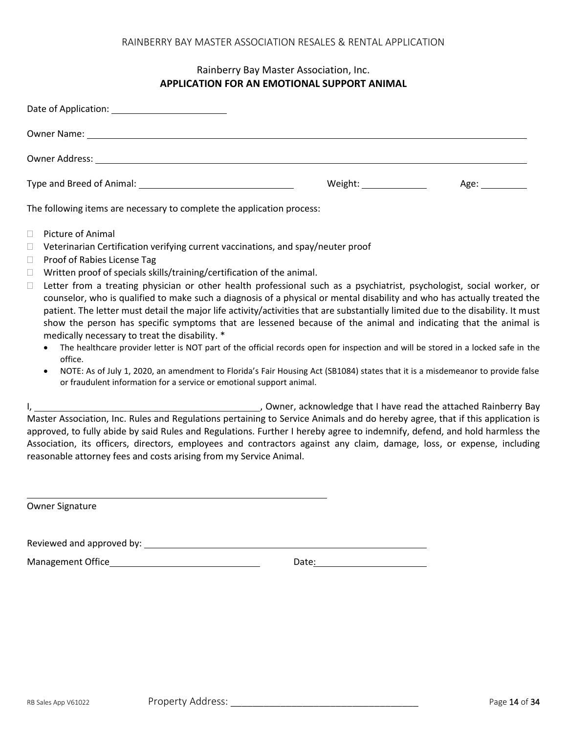## Rainberry Bay Master Association, Inc. **APPLICATION FOR AN EMOTIONAL SUPPORT ANIMAL**

| Owner Name: 1988 and 2008 and 2008 and 2008 and 2008 and 2008 and 2008 and 2008 and 2008 and 2008 and 2008 and 2008 and 2008 and 2008 and 2008 and 2008 and 2008 and 2008 and 2008 and 2008 and 2008 and 2008 and 2008 and 200 |                                                                                                                                                                                                                                |                                                                                                                |
|--------------------------------------------------------------------------------------------------------------------------------------------------------------------------------------------------------------------------------|--------------------------------------------------------------------------------------------------------------------------------------------------------------------------------------------------------------------------------|----------------------------------------------------------------------------------------------------------------|
|                                                                                                                                                                                                                                |                                                                                                                                                                                                                                |                                                                                                                |
| Type and Breed of Animal: 1999 and Breed of Animal:                                                                                                                                                                            | Weight: Network of the Media and the Media and the Media and the Media and the Media and the Media and the Media and the Media and the Media and the Media and the Media and the Media and Media and Media and Media and Media | Age: and the same of the same of the same of the same of the same of the same of the same of the same of the s |
| The following items are necessary to complete the application process:                                                                                                                                                         |                                                                                                                                                                                                                                |                                                                                                                |

- □ Picture of Animal
- $\Box$  Veterinarian Certification verifying current vaccinations, and spay/neuter proof
- □ Proof of Rabies License Tag
- $\Box$  Written proof of specials skills/training/certification of the animal.
- $\Box$  Letter from a treating physician or other health professional such as a psychiatrist, psychologist, social worker, or counselor, who is qualified to make such a diagnosis of a physical or mental disability and who has actually treated the patient. The letter must detail the major life activity/activities that are substantially limited due to the disability. It must show the person has specific symptoms that are lessened because of the animal and indicating that the animal is medically necessary to treat the disability. \*
	- The healthcare provider letter is NOT part of the official records open for inspection and will be stored in a locked safe in the office.
	- NOTE: As of July 1, 2020, an amendment to Florida's Fair Housing Act (SB1084) states that it is a misdemeanor to provide false or fraudulent information for a service or emotional support animal.

I, the state of the contract of the contract of the state of the attached Rainberry Bay Master Association, Inc. Rules and Regulations pertaining to Service Animals and do hereby agree, that if this application is approved, to fully abide by said Rules and Regulations. Further I hereby agree to indemnify, defend, and hold harmless the Association, its officers, directors, employees and contractors against any claim, damage, loss, or expense, including reasonable attorney fees and costs arising from my Service Animal.

| Owner Signature |
|-----------------|
|                 |

Reviewed and approved by:

Management Office Date: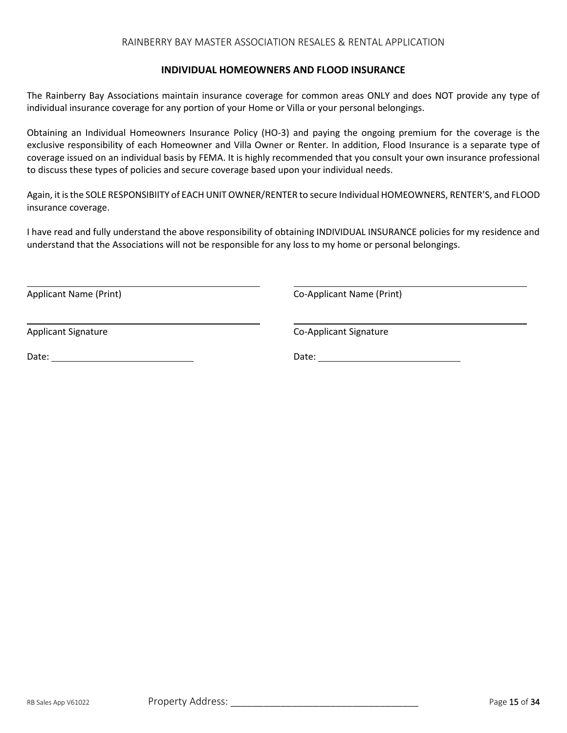#### **INDIVIDUAL HOMEOWNERS AND FLOOD INSURANCE**

The Rainberry Bay Associations maintain insurance coverage for common areas ONLY and does NOT provide any type of individual insurance coverage for any portion of your Home or Villa or your personal belongings.

Obtaining an Individual Homeowners Insurance Policy (HO-3) and paying the ongoing premium for the coverage is the exclusive responsibility of each Homeowner and Villa Owner or Renter. In addition, Flood Insurance is a separate type of coverage issued on an individual basis by FEMA. It is highly recommended that you consult your own insurance professional to discuss these types of policies and secure coverage based upon your individual needs.

Again, it is the SOLE RESPONSIBIITY of EACH UNIT OWNER/RENTER to secure Individual HOMEOWNERS, RENTER'S, and FLOOD insurance coverage.

I have read and fully understand the above responsibility of obtaining INDIVIDUAL INSURANCE policies for my residence and understand that the Associations will not be responsible for any loss to my home or personal belongings.

Applicant Name (Print) Co-Applicant Name (Print)

Applicant Signature Co-Applicant Signature Co-Applicant Signature

Date: Date: Date: Date: Date: Date: Date: Date: Date: Date: Date: Date: Date: Date: Date: Date: Date: Date: Date: Date: Date: Date: Date: Date: Date: Date: Date: Date: Date: Date: Date: Date: Date: Date: Date: Date: Date: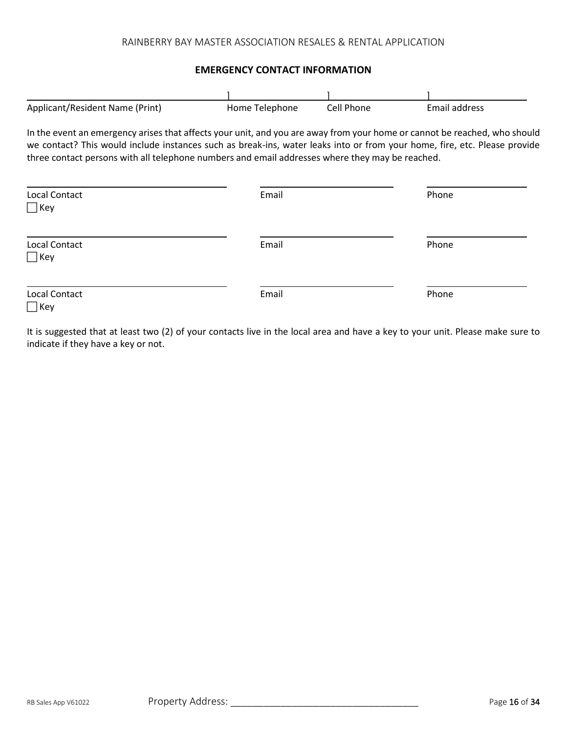#### **EMERGENCY CONTACT INFORMATION**

| Applicant/Resident Name (Print)                                                                                                                                                                                                                                                                                                                           | Home Telephone | Cell Phone | Email address |  |  |
|-----------------------------------------------------------------------------------------------------------------------------------------------------------------------------------------------------------------------------------------------------------------------------------------------------------------------------------------------------------|----------------|------------|---------------|--|--|
| In the event an emergency arises that affects your unit, and you are away from your home or cannot be reached, who should<br>we contact? This would include instances such as break-ins, water leaks into or from your home, fire, etc. Please provide<br>three contact persons with all telephone numbers and email addresses where they may be reached. |                |            |               |  |  |
| Local Contact<br>  Key                                                                                                                                                                                                                                                                                                                                    | Email          |            | Phone         |  |  |
| Local Contact<br>  Key                                                                                                                                                                                                                                                                                                                                    | Email          |            | Phone         |  |  |
| Local Contact<br>  Kev                                                                                                                                                                                                                                                                                                                                    | Email          |            | Phone         |  |  |

It is suggested that at least two (2) of your contacts live in the local area and have a key to your unit. Please make sure to indicate if they have a key or not.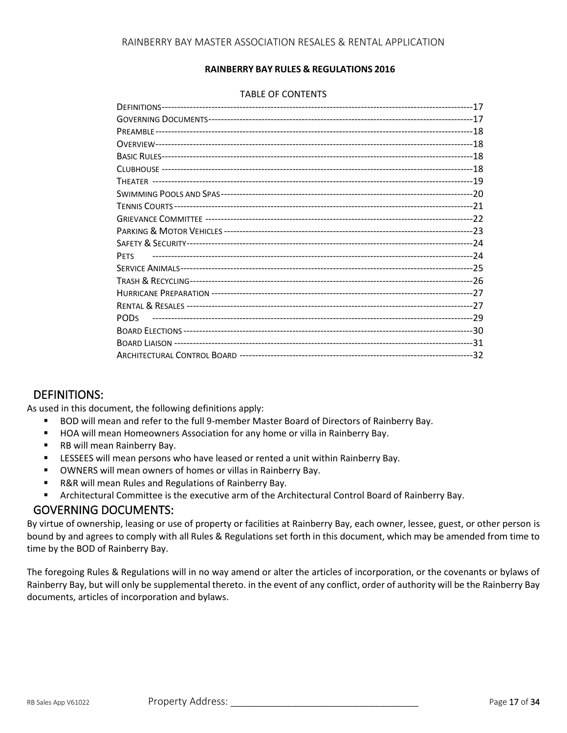#### **RAINBERRY BAY RULES & REGULATIONS 2016**

#### TABLE OF CONTENTS

| <b>PETS</b> |  |
|-------------|--|
|             |  |
|             |  |
|             |  |
|             |  |
| <b>PODS</b> |  |
|             |  |
|             |  |
|             |  |
|             |  |

# DEFINITIONS:

As used in this document, the following definitions apply:

- BOD will mean and refer to the full 9-member Master Board of Directors of Rainberry Bay.
- HOA will mean Homeowners Association for any home or villa in Rainberry Bay.
- RB will mean Rainberry Bay.
- **ELESSEES will mean persons who have leased or rented a unit within Rainberry Bay.**
- OWNERS will mean owners of homes or villas in Rainberry Bay.
- R&R will mean Rules and Regulations of Rainberry Bay.
- Architectural Committee is the executive arm of the Architectural Control Board of Rainberry Bay.

## GOVERNING DOCUMENTS:

By virtue of ownership, leasing or use of property or facilities at Rainberry Bay, each owner, lessee, guest, or other person is bound by and agrees to comply with all Rules & Regulations set forth in this document, which may be amended from time to time by the BOD of Rainberry Bay.

The foregoing Rules & Regulations will in no way amend or alter the articles of incorporation, or the covenants or bylaws of Rainberry Bay, but will only be supplemental thereto. in the event of any conflict, order of authority will be the Rainberry Bay documents, articles of incorporation and bylaws.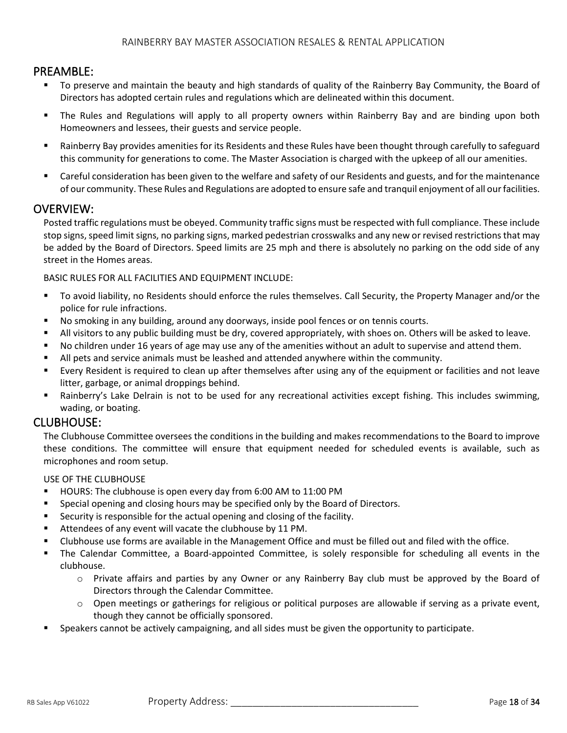## PREAMBLE:

- To preserve and maintain the beauty and high standards of quality of the Rainberry Bay Community, the Board of Directors has adopted certain rules and regulations which are delineated within this document.
- The Rules and Regulations will apply to all property owners within Rainberry Bay and are binding upon both Homeowners and lessees, their guests and service people.
- Rainberry Bay provides amenities for its Residents and these Rules have been thought through carefully to safeguard this community for generations to come. The Master Association is charged with the upkeep of all our amenities.
- Careful consideration has been given to the welfare and safety of our Residents and guests, and for the maintenance of our community. These Rules and Regulations are adopted to ensure safe and tranquil enjoyment of all our facilities.

## OVERVIEW:

Posted traffic regulations must be obeyed. Community traffic signs must be respected with full compliance. These include stop signs, speed limit signs, no parking signs, marked pedestrian crosswalks and any new or revised restrictions that may be added by the Board of Directors. Speed limits are 25 mph and there is absolutely no parking on the odd side of any street in the Homes areas.

BASIC RULES FOR ALL FACILITIES AND EQUIPMENT INCLUDE:

- To avoid liability, no Residents should enforce the rules themselves. Call Security, the Property Manager and/or the police for rule infractions.
- No smoking in any building, around any doorways, inside pool fences or on tennis courts.
- All visitors to any public building must be dry, covered appropriately, with shoes on. Others will be asked to leave.
- No children under 16 years of age may use any of the amenities without an adult to supervise and attend them.
- All pets and service animals must be leashed and attended anywhere within the community.
- Every Resident is required to clean up after themselves after using any of the equipment or facilities and not leave litter, garbage, or animal droppings behind.
- Rainberry's Lake Delrain is not to be used for any recreational activities except fishing. This includes swimming, wading, or boating.

## CLUBHOUSE:

The Clubhouse Committee oversees the conditions in the building and makes recommendations to the Board to improve these conditions. The committee will ensure that equipment needed for scheduled events is available, such as microphones and room setup.

USE OF THE CLUBHOUSE

- HOURS: The clubhouse is open every day from 6:00 AM to 11:00 PM
- **•** Special opening and closing hours may be specified only by the Board of Directors.
- Security is responsible for the actual opening and closing of the facility.
- Attendees of any event will vacate the clubhouse by 11 PM.
- Clubhouse use forms are available in the Management Office and must be filled out and filed with the office.
- The Calendar Committee, a Board-appointed Committee, is solely responsible for scheduling all events in the clubhouse.
	- o Private affairs and parties by any Owner or any Rainberry Bay club must be approved by the Board of Directors through the Calendar Committee.
	- $\circ$  Open meetings or gatherings for religious or political purposes are allowable if serving as a private event, though they cannot be officially sponsored.
- Speakers cannot be actively campaigning, and all sides must be given the opportunity to participate.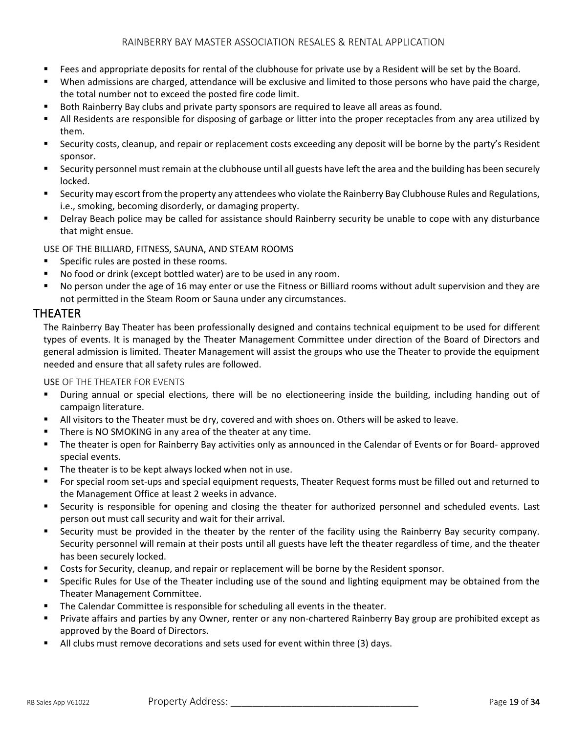- Fees and appropriate deposits for rental of the clubhouse for private use by a Resident will be set by the Board.
- When admissions are charged, attendance will be exclusive and limited to those persons who have paid the charge, the total number not to exceed the posted fire code limit.
- Both Rainberry Bay clubs and private party sponsors are required to leave all areas as found.
- All Residents are responsible for disposing of garbage or litter into the proper receptacles from any area utilized by them.
- Security costs, cleanup, and repair or replacement costs exceeding any deposit will be borne by the party's Resident sponsor.
- Security personnel must remain at the clubhouse until all guests have left the area and the building has been securely locked.
- Security may escort from the property any attendees who violate the Rainberry Bay Clubhouse Rules and Regulations, i.e., smoking, becoming disorderly, or damaging property.
- **EXTENCY Beach police may be called for assistance should Rainberry security be unable to cope with any disturbance** that might ensue.

USE OF THE BILLIARD, FITNESS, SAUNA, AND STEAM ROOMS

- Specific rules are posted in these rooms.
- No food or drink (except bottled water) are to be used in any room.
- No person under the age of 16 may enter or use the Fitness or Billiard rooms without adult supervision and they are not permitted in the Steam Room or Sauna under any circumstances.

## THEATER

The Rainberry Bay Theater has been professionally designed and contains technical equipment to be used for different types of events. It is managed by the Theater Management Committee under direction of the Board of Directors and general admission is limited. Theater Management will assist the groups who use the Theater to provide the equipment needed and ensure that all safety rules are followed.

USE OF THE THEATER FOR EVENTS

- During annual or special elections, there will be no electioneering inside the building, including handing out of campaign literature.
- **E** All visitors to the Theater must be dry, covered and with shoes on. Others will be asked to leave.
- There is NO SMOKING in any area of the theater at any time.
- The theater is open for Rainberry Bay activities only as announced in the Calendar of Events or for Board- approved special events.
- The theater is to be kept always locked when not in use.
- For special room set-ups and special equipment requests, Theater Request forms must be filled out and returned to the Management Office at least 2 weeks in advance.
- Security is responsible for opening and closing the theater for authorized personnel and scheduled events. Last person out must call security and wait for their arrival.
- Security must be provided in the theater by the renter of the facility using the Rainberry Bay security company. Security personnel will remain at their posts until all guests have left the theater regardless of time, and the theater has been securely locked.
- Costs for Security, cleanup, and repair or replacement will be borne by the Resident sponsor.
- Specific Rules for Use of the Theater including use of the sound and lighting equipment may be obtained from the Theater Management Committee.
- The Calendar Committee is responsible for scheduling all events in the theater.
- Private affairs and parties by any Owner, renter or any non-chartered Rainberry Bay group are prohibited except as approved by the Board of Directors.
- All clubs must remove decorations and sets used for event within three (3) days.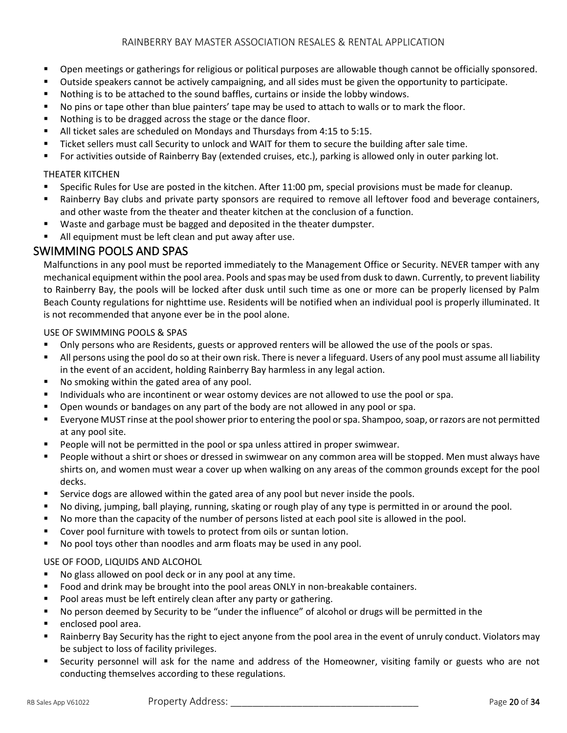- **•** Open meetings or gatherings for religious or political purposes are allowable though cannot be officially sponsored.
- Outside speakers cannot be actively campaigning, and all sides must be given the opportunity to participate.
- Nothing is to be attached to the sound baffles, curtains or inside the lobby windows.
- No pins or tape other than blue painters' tape may be used to attach to walls or to mark the floor.
- Nothing is to be dragged across the stage or the dance floor.
- All ticket sales are scheduled on Mondays and Thursdays from 4:15 to 5:15.
- Ticket sellers must call Security to unlock and WAIT for them to secure the building after sale time.
- For activities outside of Rainberry Bay (extended cruises, etc.), parking is allowed only in outer parking lot.

### THEATER KITCHEN

- Specific Rules for Use are posted in the kitchen. After 11:00 pm, special provisions must be made for cleanup.
- Rainberry Bay clubs and private party sponsors are required to remove all leftover food and beverage containers, and other waste from the theater and theater kitchen at the conclusion of a function.
- Waste and garbage must be bagged and deposited in the theater dumpster.
- All equipment must be left clean and put away after use.

# SWIMMING POOLS AND SPAS

Malfunctions in any pool must be reported immediately to the Management Office or Security. NEVER tamper with any mechanical equipment within the pool area. Pools and spas may be used from dusk to dawn. Currently, to prevent liability to Rainberry Bay, the pools will be locked after dusk until such time as one or more can be properly licensed by Palm Beach County regulations for nighttime use. Residents will be notified when an individual pool is properly illuminated. It is not recommended that anyone ever be in the pool alone.

### USE OF SWIMMING POOLS & SPAS

- **•** Only persons who are Residents, guests or approved renters will be allowed the use of the pools or spas.
- All persons using the pool do so at their own risk. There is never a lifeguard. Users of any pool must assume all liability in the event of an accident, holding Rainberry Bay harmless in any legal action.
- No smoking within the gated area of any pool.
- Individuals who are incontinent or wear ostomy devices are not allowed to use the pool or spa.
- **•** Open wounds or bandages on any part of the body are not allowed in any pool or spa.
- Everyone MUST rinse at the pool shower prior to entering the pool or spa. Shampoo, soap, or razors are not permitted at any pool site.
- People will not be permitted in the pool or spa unless attired in proper swimwear.
- People without a shirt or shoes or dressed in swimwear on any common area will be stopped. Men must always have shirts on, and women must wear a cover up when walking on any areas of the common grounds except for the pool decks.
- **E** Service dogs are allowed within the gated area of any pool but never inside the pools.
- No diving, jumping, ball playing, running, skating or rough play of any type is permitted in or around the pool.
- No more than the capacity of the number of persons listed at each pool site is allowed in the pool.
- Cover pool furniture with towels to protect from oils or suntan lotion.
- No pool toys other than noodles and arm floats may be used in any pool.

### USE OF FOOD, LIQUIDS AND ALCOHOL

- No glass allowed on pool deck or in any pool at any time.
- Food and drink may be brought into the pool areas ONLY in non-breakable containers.
- Pool areas must be left entirely clean after any party or gathering.
- No person deemed by Security to be "under the influence" of alcohol or drugs will be permitted in the
- enclosed pool area.
- Rainberry Bay Security has the right to eject anyone from the pool area in the event of unruly conduct. Violators may be subject to loss of facility privileges.
- Security personnel will ask for the name and address of the Homeowner, visiting family or guests who are not conducting themselves according to these regulations.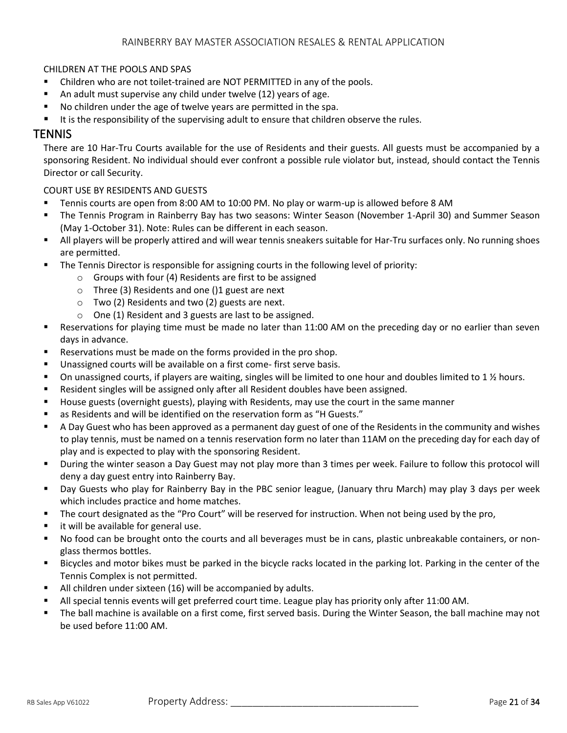### CHILDREN AT THE POOLS AND SPAS

- Children who are not toilet-trained are NOT PERMITTED in any of the pools.
- An adult must supervise any child under twelve (12) years of age.
- No children under the age of twelve years are permitted in the spa.
- It is the responsibility of the supervising adult to ensure that children observe the rules.

## **TENNIS**

There are 10 Har-Tru Courts available for the use of Residents and their guests. All guests must be accompanied by a sponsoring Resident. No individual should ever confront a possible rule violator but, instead, should contact the Tennis Director or call Security.

#### COURT USE BY RESIDENTS AND GUESTS

- Tennis courts are open from 8:00 AM to 10:00 PM. No play or warm-up is allowed before 8 AM
- The Tennis Program in Rainberry Bay has two seasons: Winter Season (November 1-April 30) and Summer Season (May 1-October 31). Note: Rules can be different in each season.
- All players will be properly attired and will wear tennis sneakers suitable for Har-Tru surfaces only. No running shoes are permitted.
- **•** The Tennis Director is responsible for assigning courts in the following level of priority:
	- o Groups with four (4) Residents are first to be assigned
	- o Three (3) Residents and one ()1 guest are next
	- o Two (2) Residents and two (2) guests are next.
	- o One (1) Resident and 3 guests are last to be assigned.
- Reservations for playing time must be made no later than 11:00 AM on the preceding day or no earlier than seven days in advance.
- Reservations must be made on the forms provided in the pro shop.
- Unassigned courts will be available on a first come-first serve basis.
- On unassigned courts, if players are waiting, singles will be limited to one hour and doubles limited to 1  $\frac{1}{2}$  hours.
- Resident singles will be assigned only after all Resident doubles have been assigned.
- House guests (overnight guests), playing with Residents, may use the court in the same manner
- as Residents and will be identified on the reservation form as "H Guests."
- A Day Guest who has been approved as a permanent day guest of one of the Residents in the community and wishes to play tennis, must be named on a tennis reservation form no later than 11AM on the preceding day for each day of play and is expected to play with the sponsoring Resident.
- During the winter season a Day Guest may not play more than 3 times per week. Failure to follow this protocol will deny a day guest entry into Rainberry Bay.
- Day Guests who play for Rainberry Bay in the PBC senior league, (January thru March) may play 3 days per week which includes practice and home matches.
- The court designated as the "Pro Court" will be reserved for instruction. When not being used by the pro,
- it will be available for general use.
- No food can be brought onto the courts and all beverages must be in cans, plastic unbreakable containers, or nonglass thermos bottles.
- Bicycles and motor bikes must be parked in the bicycle racks located in the parking lot. Parking in the center of the Tennis Complex is not permitted.
- All children under sixteen (16) will be accompanied by adults.
- All special tennis events will get preferred court time. League play has priority only after 11:00 AM.
- The ball machine is available on a first come, first served basis. During the Winter Season, the ball machine may not be used before 11:00 AM.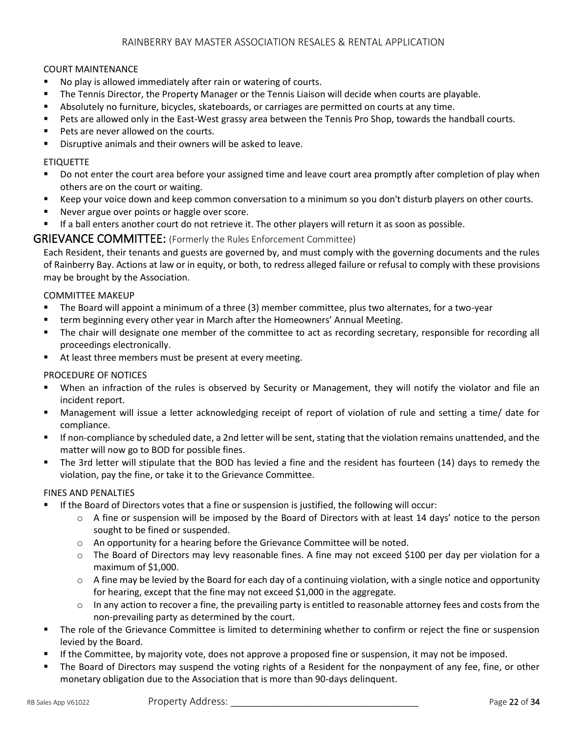#### COURT MAINTENANCE

- No play is allowed immediately after rain or watering of courts.
- The Tennis Director, the Property Manager or the Tennis Liaison will decide when courts are playable.
- Absolutely no furniture, bicycles, skateboards, or carriages are permitted on courts at any time.
- Pets are allowed only in the East-West grassy area between the Tennis Pro Shop, towards the handball courts.
- Pets are never allowed on the courts.
- Disruptive animals and their owners will be asked to leave.

#### ETIQUETTE

- Do not enter the court area before your assigned time and leave court area promptly after completion of play when others are on the court or waiting.
- Keep your voice down and keep common conversation to a minimum so you don't disturb players on other courts.
- Never argue over points or haggle over score.
- If a ball enters another court do not retrieve it. The other players will return it as soon as possible.

### GRIEVANCE COMMITTEE: (Formerly the Rules Enforcement Committee)

Each Resident, their tenants and guests are governed by, and must comply with the governing documents and the rules of Rainberry Bay. Actions at law or in equity, or both, to redress alleged failure or refusal to comply with these provisions may be brought by the Association.

#### COMMITTEE MAKEUP

- The Board will appoint a minimum of a three (3) member committee, plus two alternates, for a two-year
- **■** term beginning every other year in March after the Homeowners' Annual Meeting.
- The chair will designate one member of the committee to act as recording secretary, responsible for recording all proceedings electronically.
- At least three members must be present at every meeting.

#### PROCEDURE OF NOTICES

- When an infraction of the rules is observed by Security or Management, they will notify the violator and file an incident report.
- Management will issue a letter acknowledging receipt of report of violation of rule and setting a time/ date for compliance.
- If non-compliance by scheduled date, a 2nd letter will be sent, stating that the violation remains unattended, and the matter will now go to BOD for possible fines.
- The 3rd letter will stipulate that the BOD has levied a fine and the resident has fourteen (14) days to remedy the violation, pay the fine, or take it to the Grievance Committee.

#### FINES AND PENALTIES

- If the Board of Directors votes that a fine or suspension is justified, the following will occur:
	- o A fine or suspension will be imposed by the Board of Directors with at least 14 days' notice to the person sought to be fined or suspended.
	- o An opportunity for a hearing before the Grievance Committee will be noted.
	- o The Board of Directors may levy reasonable fines. A fine may not exceed \$100 per day per violation for a maximum of \$1,000.
	- $\circ$  A fine may be levied by the Board for each day of a continuing violation, with a single notice and opportunity for hearing, except that the fine may not exceed \$1,000 in the aggregate.
	- o In any action to recover a fine, the prevailing party is entitled to reasonable attorney fees and costs from the non-prevailing party as determined by the court.
- The role of the Grievance Committee is limited to determining whether to confirm or reject the fine or suspension levied by the Board.
- If the Committee, by majority vote, does not approve a proposed fine or suspension, it may not be imposed.
- The Board of Directors may suspend the voting rights of a Resident for the nonpayment of any fee, fine, or other monetary obligation due to the Association that is more than 90-days delinquent.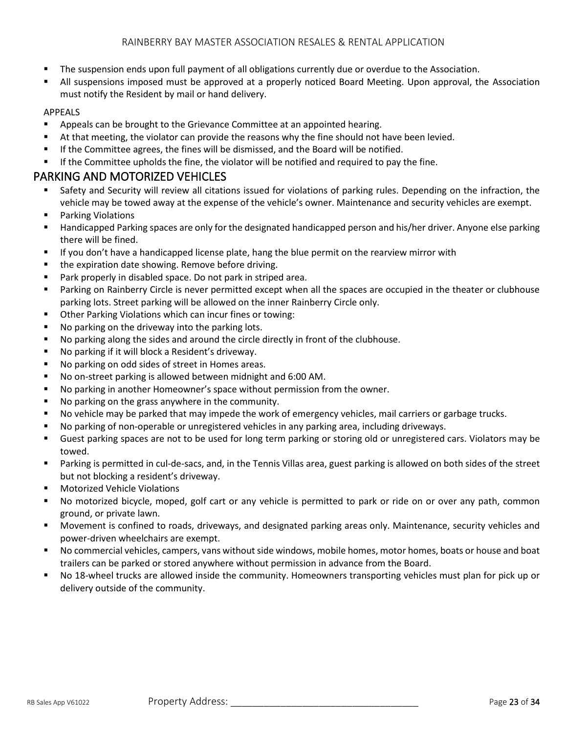- **•** The suspension ends upon full payment of all obligations currently due or overdue to the Association.
- All suspensions imposed must be approved at a properly noticed Board Meeting. Upon approval, the Association must notify the Resident by mail or hand delivery.

### APPEALS

- Appeals can be brought to the Grievance Committee at an appointed hearing.
- At that meeting, the violator can provide the reasons why the fine should not have been levied.
- If the Committee agrees, the fines will be dismissed, and the Board will be notified.
- **■** If the Committee upholds the fine, the violator will be notified and required to pay the fine.

# PARKING AND MOTORIZED VEHICLES

- Safety and Security will review all citations issued for violations of parking rules. Depending on the infraction, the vehicle may be towed away at the expense of the vehicle's owner. Maintenance and security vehicles are exempt.
- **Parking Violations**
- Handicapped Parking spaces are only for the designated handicapped person and his/her driver. Anyone else parking there will be fined.
- **■** If you don't have a handicapped license plate, hang the blue permit on the rearview mirror with
- the expiration date showing. Remove before driving.
- Park properly in disabled space. Do not park in striped area.
- Parking on Rainberry Circle is never permitted except when all the spaces are occupied in the theater or clubhouse parking lots. Street parking will be allowed on the inner Rainberry Circle only.
- Other Parking Violations which can incur fines or towing:
- No parking on the driveway into the parking lots.
- No parking along the sides and around the circle directly in front of the clubhouse.
- No parking if it will block a Resident's driveway.
- No parking on odd sides of street in Homes areas.
- No on-street parking is allowed between midnight and 6:00 AM.
- No parking in another Homeowner's space without permission from the owner.
- No parking on the grass anywhere in the community.
- No vehicle may be parked that may impede the work of emergency vehicles, mail carriers or garbage trucks.
- No parking of non-operable or unregistered vehicles in any parking area, including driveways.
- Guest parking spaces are not to be used for long term parking or storing old or unregistered cars. Violators may be towed.
- Parking is permitted in cul-de-sacs, and, in the Tennis Villas area, guest parking is allowed on both sides of the street but not blocking a resident's driveway.
- **Motorized Vehicle Violations**
- No motorized bicycle, moped, golf cart or any vehicle is permitted to park or ride on or over any path, common ground, or private lawn.
- Movement is confined to roads, driveways, and designated parking areas only. Maintenance, security vehicles and power-driven wheelchairs are exempt.
- No commercial vehicles, campers, vans without side windows, mobile homes, motor homes, boats or house and boat trailers can be parked or stored anywhere without permission in advance from the Board.
- No 18-wheel trucks are allowed inside the community. Homeowners transporting vehicles must plan for pick up or delivery outside of the community.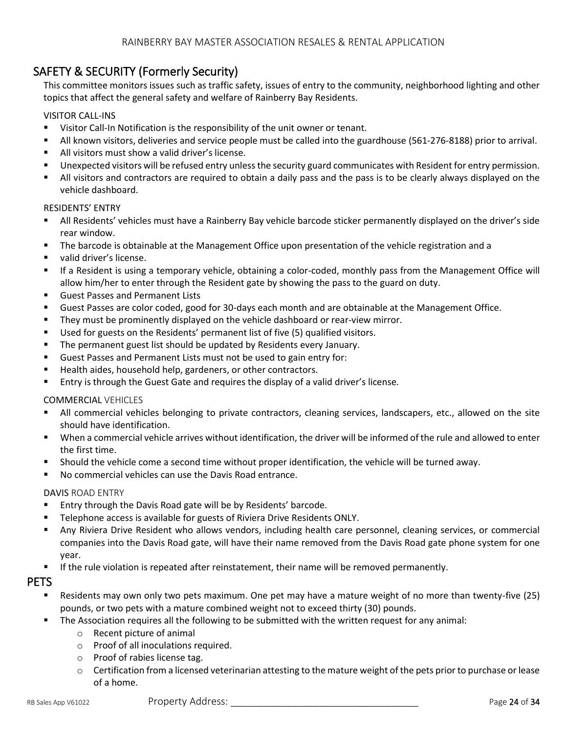# SAFETY & SECURITY (Formerly Security)

This committee monitors issues such as traffic safety, issues of entry to the community, neighborhood lighting and other topics that affect the general safety and welfare of Rainberry Bay Residents.

### VISITOR CALL-INS

- Visitor Call-In Notification is the responsibility of the unit owner or tenant.
- All known visitors, deliveries and service people must be called into the guardhouse (561-276-8188) prior to arrival.
- All visitors must show a valid driver's license.
- Unexpected visitors will be refused entry unless the security guard communicates with Resident for entry permission.
- All visitors and contractors are required to obtain a daily pass and the pass is to be clearly always displayed on the vehicle dashboard.

#### RESIDENTS' ENTRY

- All Residents' vehicles must have a Rainberry Bay vehicle barcode sticker permanently displayed on the driver's side rear window.
- The barcode is obtainable at the Management Office upon presentation of the vehicle registration and a
- valid driver's license.
- If a Resident is using a temporary vehicle, obtaining a color-coded, monthly pass from the Management Office will allow him/her to enter through the Resident gate by showing the pass to the guard on duty.
- Guest Passes and Permanent Lists
- Guest Passes are color coded, good for 30-days each month and are obtainable at the Management Office.
- **■** They must be prominently displayed on the vehicle dashboard or rear-view mirror.
- Used for guests on the Residents' permanent list of five (5) qualified visitors.
- The permanent guest list should be updated by Residents every January.
- Guest Passes and Permanent Lists must not be used to gain entry for:
- Health aides, household help, gardeners, or other contractors.
- **Entry is through the Guest Gate and requires the display of a valid driver's license.**

#### COMMERCIAL VEHICLES

- All commercial vehicles belonging to private contractors, cleaning services, landscapers, etc., allowed on the site should have identification.
- When a commercial vehicle arrives without identification, the driver will be informed of the rule and allowed to enter the first time.
- Should the vehicle come a second time without proper identification, the vehicle will be turned away.
- No commercial vehicles can use the Davis Road entrance.

#### DAVIS ROAD ENTRY

- Entry through the Davis Road gate will be by Residents' barcode.
- Telephone access is available for guests of Riviera Drive Residents ONLY.
- Any Riviera Drive Resident who allows vendors, including health care personnel, cleaning services, or commercial companies into the Davis Road gate, will have their name removed from the Davis Road gate phone system for one year.
- If the rule violation is repeated after reinstatement, their name will be removed permanently.

## PETS

- Residents may own only two pets maximum. One pet may have a mature weight of no more than twenty-five (25) pounds, or two pets with a mature combined weight not to exceed thirty (30) pounds.
- The Association requires all the following to be submitted with the written request for any animal:
	- o Recent picture of animal
	- o Proof of all inoculations required.
	- o Proof of rabies license tag.
	- $\circ$  Certification from a licensed veterinarian attesting to the mature weight of the pets prior to purchase or lease of a home.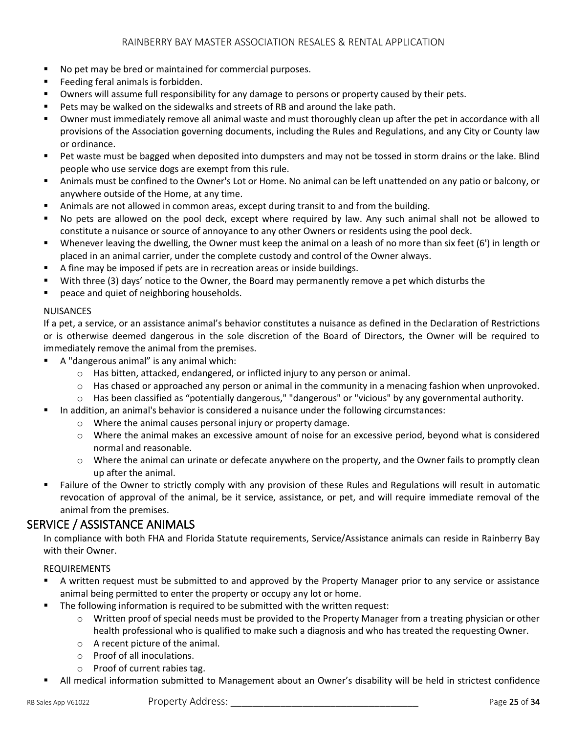- No pet may be bred or maintained for commercial purposes.
- Feeding feral animals is forbidden.
- Owners will assume full responsibility for any damage to persons or property caused by their pets.
- Pets may be walked on the sidewalks and streets of RB and around the lake path.
- Owner must immediately remove all animal waste and must thoroughly clean up after the pet in accordance with all provisions of the Association governing documents, including the Rules and Regulations, and any City or County law or ordinance.
- Pet waste must be bagged when deposited into dumpsters and may not be tossed in storm drains or the lake. Blind people who use service dogs are exempt from this rule.
- Animals must be confined to the Owner's Lot or Home. No animal can be left unattended on any patio or balcony, or anywhere outside of the Home, at any time.
- **•** Animals are not allowed in common areas, except during transit to and from the building.
- No pets are allowed on the pool deck, except where required by law. Any such animal shall not be allowed to constitute a nuisance or source of annoyance to any other Owners or residents using the pool deck.
- Whenever leaving the dwelling, the Owner must keep the animal on a leash of no more than six feet (6') in length or placed in an animal carrier, under the complete custody and control of the Owner always.
- A fine may be imposed if pets are in recreation areas or inside buildings.
- With three (3) days' notice to the Owner, the Board may permanently remove a pet which disturbs the
- peace and quiet of neighboring households.

### NUISANCES

If a pet, a service, or an assistance animal's behavior constitutes a nuisance as defined in the Declaration of Restrictions or is otherwise deemed dangerous in the sole discretion of the Board of Directors, the Owner will be required to immediately remove the animal from the premises.

- A "dangerous animal" is any animal which:
	- $\circ$  Has bitten, attacked, endangered, or inflicted injury to any person or animal.
	- $\circ$  Has chased or approached any person or animal in the community in a menacing fashion when unprovoked.
	- o Has been classified as "potentially dangerous," "dangerous" or "vicious" by any governmental authority.
- In addition, an animal's behavior is considered a nuisance under the following circumstances:
	- o Where the animal causes personal injury or property damage.
	- o Where the animal makes an excessive amount of noise for an excessive period, beyond what is considered normal and reasonable.
	- o Where the animal can urinate or defecate anywhere on the property, and the Owner fails to promptly clean up after the animal.
- Failure of the Owner to strictly comply with any provision of these Rules and Regulations will result in automatic revocation of approval of the animal, be it service, assistance, or pet, and will require immediate removal of the animal from the premises.

# SERVICE / ASSISTANCE ANIMALS

In compliance with both FHA and Florida Statute requirements, Service/Assistance animals can reside in Rainberry Bay with their Owner.

### REQUIREMENTS

- A written request must be submitted to and approved by the Property Manager prior to any service or assistance animal being permitted to enter the property or occupy any lot or home.
	- The following information is required to be submitted with the written request:
		- o Written proof of special needs must be provided to the Property Manager from a treating physician or other health professional who is qualified to make such a diagnosis and who has treated the requesting Owner.
		- o A recent picture of the animal.
		- o Proof of all inoculations.
		- o Proof of current rabies tag.
- All medical information submitted to Management about an Owner's disability will be held in strictest confidence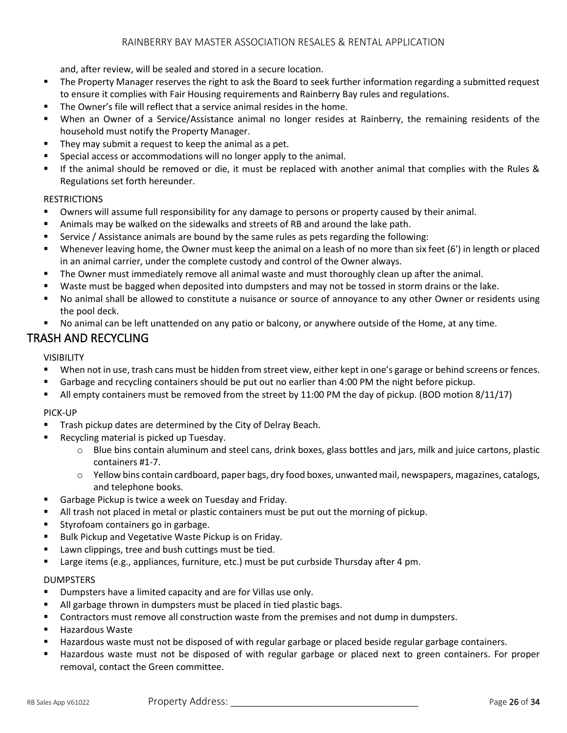and, after review, will be sealed and stored in a secure location.

- The Property Manager reserves the right to ask the Board to seek further information regarding a submitted request to ensure it complies with Fair Housing requirements and Rainberry Bay rules and regulations.
- The Owner's file will reflect that a service animal resides in the home.
- When an Owner of a Service/Assistance animal no longer resides at Rainberry, the remaining residents of the household must notify the Property Manager.
- They may submit a request to keep the animal as a pet.
- Special access or accommodations will no longer apply to the animal.
- If the animal should be removed or die, it must be replaced with another animal that complies with the Rules & Regulations set forth hereunder.

#### RESTRICTIONS

- Owners will assume full responsibility for any damage to persons or property caused by their animal.
- Animals may be walked on the sidewalks and streets of RB and around the lake path.
- Service / Assistance animals are bound by the same rules as pets regarding the following:
- Whenever leaving home, the Owner must keep the animal on a leash of no more than six feet (6') in length or placed in an animal carrier, under the complete custody and control of the Owner always.
- **•** The Owner must immediately remove all animal waste and must thoroughly clean up after the animal.
- Waste must be bagged when deposited into dumpsters and may not be tossed in storm drains or the lake.
- No animal shall be allowed to constitute a nuisance or source of annoyance to any other Owner or residents using the pool deck.
- No animal can be left unattended on any patio or balcony, or anywhere outside of the Home, at any time.

# TRASH AND RECYCLING

### VISIBILITY

- When not in use, trash cans must be hidden from street view, either kept in one's garage or behind screens or fences.
- Garbage and recycling containers should be put out no earlier than 4:00 PM the night before pickup.
- All empty containers must be removed from the street by 11:00 PM the day of pickup. (BOD motion 8/11/17)

#### PICK-UP

- Trash pickup dates are determined by the City of Delray Beach.
- Recycling material is picked up Tuesday.
	- o Blue bins contain aluminum and steel cans, drink boxes, glass bottles and jars, milk and juice cartons, plastic containers #1-7.
	- o Yellow bins contain cardboard, paper bags, dry food boxes, unwanted mail, newspapers, magazines, catalogs, and telephone books.
- Garbage Pickup is twice a week on Tuesday and Friday.
- All trash not placed in metal or plastic containers must be put out the morning of pickup.
- Styrofoam containers go in garbage.
- Bulk Pickup and Vegetative Waste Pickup is on Friday.
- Lawn clippings, tree and bush cuttings must be tied.
- Large items (e.g., appliances, furniture, etc.) must be put curbside Thursday after 4 pm.

#### DUMPSTERS

- Dumpsters have a limited capacity and are for Villas use only.
- All garbage thrown in dumpsters must be placed in tied plastic bags.
- Contractors must remove all construction waste from the premises and not dump in dumpsters.
- Hazardous Waste
- Hazardous waste must not be disposed of with regular garbage or placed beside regular garbage containers.
- Hazardous waste must not be disposed of with regular garbage or placed next to green containers. For proper removal, contact the Green committee.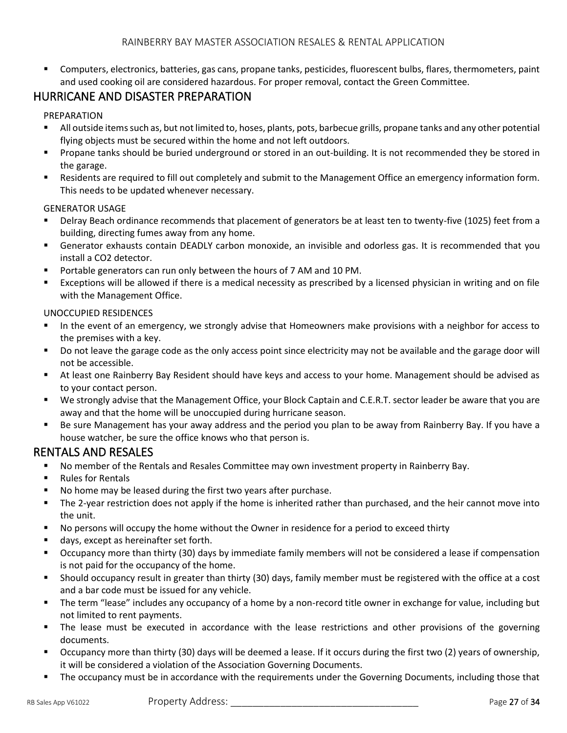Computers, electronics, batteries, gas cans, propane tanks, pesticides, fluorescent bulbs, flares, thermometers, paint and used cooking oil are considered hazardous. For proper removal, contact the Green Committee.

# HURRICANE AND DISASTER PREPARATION

## PREPARATION

- All outside items such as, but not limited to, hoses, plants, pots, barbecue grills, propane tanks and any other potential flying objects must be secured within the home and not left outdoors.
- Propane tanks should be buried underground or stored in an out-building. It is not recommended they be stored in the garage.
- Residents are required to fill out completely and submit to the Management Office an emergency information form. This needs to be updated whenever necessary.

### GENERATOR USAGE

- Delray Beach ordinance recommends that placement of generators be at least ten to twenty-five (1025) feet from a building, directing fumes away from any home.
- Generator exhausts contain DEADLY carbon monoxide, an invisible and odorless gas. It is recommended that you install a CO2 detector.
- Portable generators can run only between the hours of 7 AM and 10 PM.
- Exceptions will be allowed if there is a medical necessity as prescribed by a licensed physician in writing and on file with the Management Office.

## UNOCCUPIED RESIDENCES

- In the event of an emergency, we strongly advise that Homeowners make provisions with a neighbor for access to the premises with a key.
- Do not leave the garage code as the only access point since electricity may not be available and the garage door will not be accessible.
- At least one Rainberry Bay Resident should have keys and access to your home. Management should be advised as to your contact person.
- We strongly advise that the Management Office, your Block Captain and C.E.R.T. sector leader be aware that you are away and that the home will be unoccupied during hurricane season.
- Be sure Management has your away address and the period you plan to be away from Rainberry Bay. If you have a house watcher, be sure the office knows who that person is.

# RENTALS AND RESALES

- No member of the Rentals and Resales Committee may own investment property in Rainberry Bay.
- Rules for Rentals
- No home may be leased during the first two years after purchase.
- The 2-year restriction does not apply if the home is inherited rather than purchased, and the heir cannot move into the unit.
- No persons will occupy the home without the Owner in residence for a period to exceed thirty
- days, except as hereinafter set forth.
- Occupancy more than thirty (30) days by immediate family members will not be considered a lease if compensation is not paid for the occupancy of the home.
- Should occupancy result in greater than thirty (30) days, family member must be registered with the office at a cost and a bar code must be issued for any vehicle.
- The term "lease" includes any occupancy of a home by a non-record title owner in exchange for value, including but not limited to rent payments.
- The lease must be executed in accordance with the lease restrictions and other provisions of the governing documents.
- Occupancy more than thirty (30) days will be deemed a lease. If it occurs during the first two (2) years of ownership, it will be considered a violation of the Association Governing Documents.
- The occupancy must be in accordance with the requirements under the Governing Documents, including those that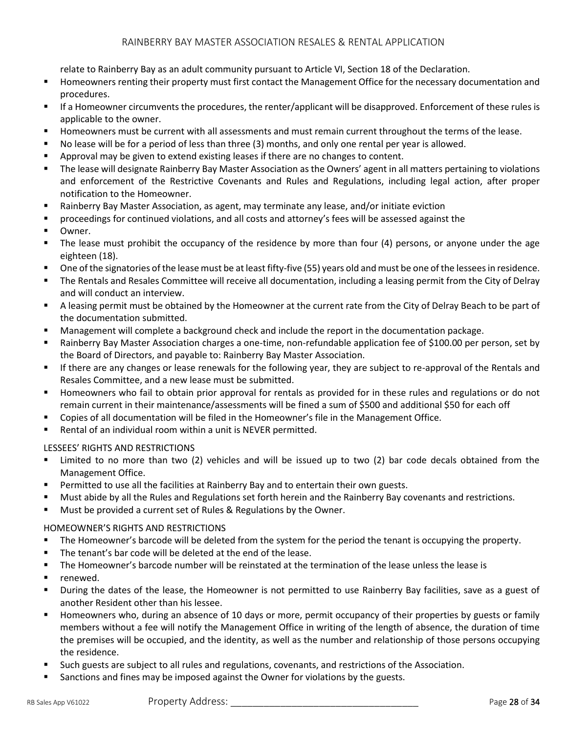relate to Rainberry Bay as an adult community pursuant to Article VI, Section 18 of the Declaration.

- Homeowners renting their property must first contact the Management Office for the necessary documentation and procedures.
- If a Homeowner circumvents the procedures, the renter/applicant will be disapproved. Enforcement of these rules is applicable to the owner.
- Homeowners must be current with all assessments and must remain current throughout the terms of the lease.
- No lease will be for a period of less than three (3) months, and only one rental per year is allowed.
- Approval may be given to extend existing leases if there are no changes to content.
- The lease will designate Rainberry Bay Master Association as the Owners' agent in all matters pertaining to violations and enforcement of the Restrictive Covenants and Rules and Regulations, including legal action, after proper notification to the Homeowner.
- Rainberry Bay Master Association, as agent, may terminate any lease, and/or initiate eviction
- **•** proceedings for continued violations, and all costs and attorney's fees will be assessed against the
- Owner.
- The lease must prohibit the occupancy of the residence by more than four (4) persons, or anyone under the age eighteen (18).
- One of the signatories of the lease must be at least fifty-five (55) years old and must be one of the lessees in residence.
- **•** The Rentals and Resales Committee will receive all documentation, including a leasing permit from the City of Delray and will conduct an interview.
- A leasing permit must be obtained by the Homeowner at the current rate from the City of Delray Beach to be part of the documentation submitted.
- Management will complete a background check and include the report in the documentation package.
- Rainberry Bay Master Association charges a one-time, non-refundable application fee of \$100.00 per person, set by the Board of Directors, and payable to: Rainberry Bay Master Association.
- **■** If there are any changes or lease renewals for the following year, they are subject to re-approval of the Rentals and Resales Committee, and a new lease must be submitted.
- Homeowners who fail to obtain prior approval for rentals as provided for in these rules and regulations or do not remain current in their maintenance/assessments will be fined a sum of \$500 and additional \$50 for each off
- Copies of all documentation will be filed in the Homeowner's file in the Management Office.
- Rental of an individual room within a unit is NEVER permitted.

#### LESSEES' RIGHTS AND RESTRICTIONS

- Limited to no more than two (2) vehicles and will be issued up to two (2) bar code decals obtained from the Management Office.
- Permitted to use all the facilities at Rainberry Bay and to entertain their own guests.
- Must abide by all the Rules and Regulations set forth herein and the Rainberry Bay covenants and restrictions.
- Must be provided a current set of Rules & Regulations by the Owner.

#### HOMEOWNER'S RIGHTS AND RESTRICTIONS

- The Homeowner's barcode will be deleted from the system for the period the tenant is occupying the property.
- The tenant's bar code will be deleted at the end of the lease.
- The Homeowner's barcode number will be reinstated at the termination of the lease unless the lease is
- renewed.
- During the dates of the lease, the Homeowner is not permitted to use Rainberry Bay facilities, save as a guest of another Resident other than his lessee.
- Homeowners who, during an absence of 10 days or more, permit occupancy of their properties by guests or family members without a fee will notify the Management Office in writing of the length of absence, the duration of time the premises will be occupied, and the identity, as well as the number and relationship of those persons occupying the residence.
- Such guests are subject to all rules and regulations, covenants, and restrictions of the Association.
- Sanctions and fines may be imposed against the Owner for violations by the guests.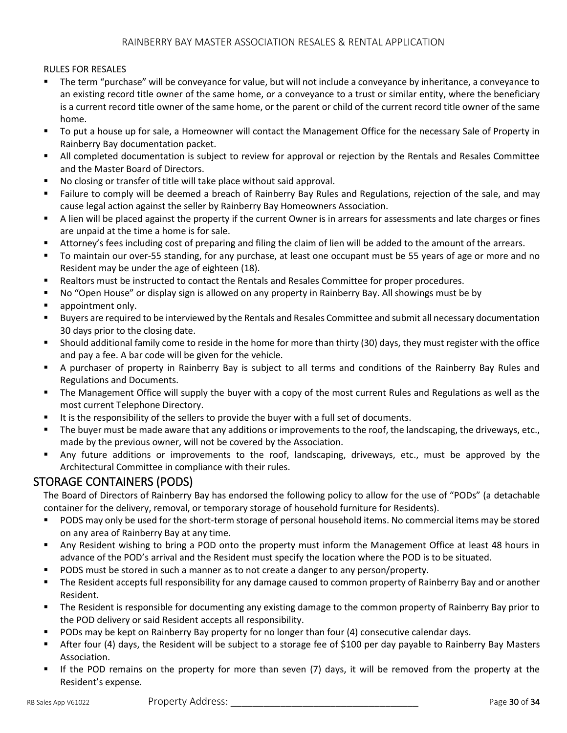### RULES FOR RESALES

- The term "purchase" will be conveyance for value, but will not include a conveyance by inheritance, a conveyance to an existing record title owner of the same home, or a conveyance to a trust or similar entity, where the beneficiary is a current record title owner of the same home, or the parent or child of the current record title owner of the same home.
- To put a house up for sale, a Homeowner will contact the Management Office for the necessary Sale of Property in Rainberry Bay documentation packet.
- All completed documentation is subject to review for approval or rejection by the Rentals and Resales Committee and the Master Board of Directors.
- No closing or transfer of title will take place without said approval.
- Failure to comply will be deemed a breach of Rainberry Bay Rules and Regulations, rejection of the sale, and may cause legal action against the seller by Rainberry Bay Homeowners Association.
- A lien will be placed against the property if the current Owner is in arrears for assessments and late charges or fines are unpaid at the time a home is for sale.
- Attorney's fees including cost of preparing and filing the claim of lien will be added to the amount of the arrears.
- To maintain our over-55 standing, for any purchase, at least one occupant must be 55 years of age or more and no Resident may be under the age of eighteen (18).
- Realtors must be instructed to contact the Rentals and Resales Committee for proper procedures.
- No "Open House" or display sign is allowed on any property in Rainberry Bay. All showings must be by
- appointment only.
- Buyers are required to be interviewed by the Rentals and Resales Committee and submit all necessary documentation 30 days prior to the closing date.
- Should additional family come to reside in the home for more than thirty (30) days, they must register with the office and pay a fee. A bar code will be given for the vehicle.
- A purchaser of property in Rainberry Bay is subject to all terms and conditions of the Rainberry Bay Rules and Regulations and Documents.
- **•** The Management Office will supply the buyer with a copy of the most current Rules and Regulations as well as the most current Telephone Directory.
- It is the responsibility of the sellers to provide the buyer with a full set of documents.
- The buyer must be made aware that any additions or improvements to the roof, the landscaping, the driveways, etc., made by the previous owner, will not be covered by the Association.
- Any future additions or improvements to the roof, landscaping, driveways, etc., must be approved by the Architectural Committee in compliance with their rules.

# STORAGE CONTAINERS (PODS)

The Board of Directors of Rainberry Bay has endorsed the following policy to allow for the use of "PODs" (a detachable container for the delivery, removal, or temporary storage of household furniture for Residents).

- PODS may only be used for the short-term storage of personal household items. No commercial items may be stored on any area of Rainberry Bay at any time.
- Any Resident wishing to bring a POD onto the property must inform the Management Office at least 48 hours in advance of the POD's arrival and the Resident must specify the location where the POD is to be situated.
- PODS must be stored in such a manner as to not create a danger to any person/property.
- **•** The Resident accepts full responsibility for any damage caused to common property of Rainberry Bay and or another Resident.
- The Resident is responsible for documenting any existing damage to the common property of Rainberry Bay prior to the POD delivery or said Resident accepts all responsibility.
- PODs may be kept on Rainberry Bay property for no longer than four (4) consecutive calendar days.
- After four (4) days, the Resident will be subject to a storage fee of \$100 per day payable to Rainberry Bay Masters Association.
- If the POD remains on the property for more than seven (7) days, it will be removed from the property at the Resident's expense.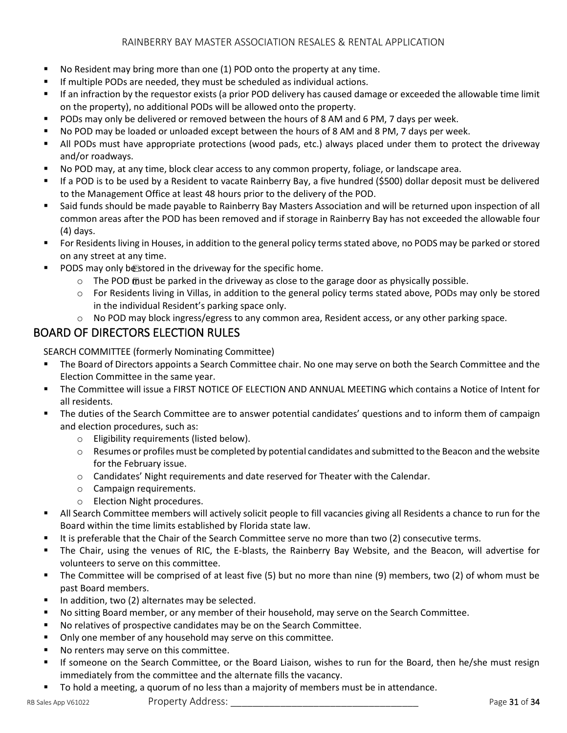- No Resident may bring more than one (1) POD onto the property at any time.
- If multiple PODs are needed, they must be scheduled as individual actions.
- If an infraction by the requestor exists (a prior POD delivery has caused damage or exceeded the allowable time limit on the property), no additional PODs will be allowed onto the property.
- PODs may only be delivered or removed between the hours of 8 AM and 6 PM, 7 days per week.
- No POD may be loaded or unloaded except between the hours of 8 AM and 8 PM, 7 days per week.
- All PODs must have appropriate protections (wood pads, etc.) always placed under them to protect the driveway and/or roadways.
- No POD may, at any time, block clear access to any common property, foliage, or landscape area.
- If a POD is to be used by a Resident to vacate Rainberry Bay, a five hundred (\$500) dollar deposit must be delivered to the Management Office at least 48 hours prior to the delivery of the POD.
- Said funds should be made payable to Rainberry Bay Masters Association and will be returned upon inspection of all common areas after the POD has been removed and if storage in Rainberry Bay has not exceeded the allowable four (4) days.
- For Residents living in Houses, in addition to the general policy terms stated above, no PODS may be parked or stored on any street at any time.
- PODS may only be stored in the driveway for the specific home.
	- $\circ$  The POD moust be parked in the driveway as close to the garage door as physically possible.
	- o For Residents living in Villas, in addition to the general policy terms stated above, PODs may only be stored in the individual Resident's parking space only.
	- $\circ$  No POD may block ingress/egress to any common area, Resident access, or any other parking space.

# BOARD OF DIRECTORS ELECTION RULES

SEARCH COMMITTEE (formerly Nominating Committee)

- The Board of Directors appoints a Search Committee chair. No one may serve on both the Search Committee and the Election Committee in the same year.
- The Committee will issue a FIRST NOTICE OF ELECTION AND ANNUAL MEETING which contains a Notice of Intent for all residents.
- The duties of the Search Committee are to answer potential candidates' questions and to inform them of campaign and election procedures, such as:
	- o Eligibility requirements (listed below).
	- $\circ$  Resumes or profiles must be completed by potential candidates and submitted to the Beacon and the website for the February issue.
	- o Candidates' Night requirements and date reserved for Theater with the Calendar.
	- o Campaign requirements.
	- o Election Night procedures.
- **EXECT All Search Committee members will actively solicit people to fill vacancies giving all Residents a chance to run for the** Board within the time limits established by Florida state law.
- It is preferable that the Chair of the Search Committee serve no more than two (2) consecutive terms.
- The Chair, using the venues of RIC, the E-blasts, the Rainberry Bay Website, and the Beacon, will advertise for volunteers to serve on this committee.
- The Committee will be comprised of at least five (5) but no more than nine (9) members, two (2) of whom must be past Board members.
- In addition, two (2) alternates may be selected.
- No sitting Board member, or any member of their household, may serve on the Search Committee.
- No relatives of prospective candidates may be on the Search Committee.
- Only one member of any household may serve on this committee.
- No renters may serve on this committee.
- If someone on the Search Committee, or the Board Liaison, wishes to run for the Board, then he/she must resign immediately from the committee and the alternate fills the vacancy.
- To hold a meeting, a quorum of no less than a majority of members must be in attendance.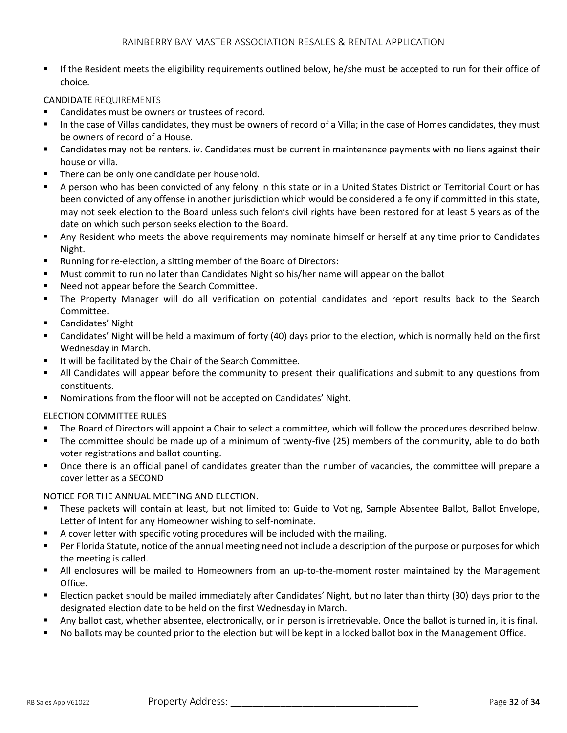**■** If the Resident meets the eligibility requirements outlined below, he/she must be accepted to run for their office of choice.

#### CANDIDATE REQUIREMENTS

- Candidates must be owners or trustees of record.
- In the case of Villas candidates, they must be owners of record of a Villa; in the case of Homes candidates, they must be owners of record of a House.
- Candidates may not be renters. iv. Candidates must be current in maintenance payments with no liens against their house or villa.
- There can be only one candidate per household.
- A person who has been convicted of any felony in this state or in a United States District or Territorial Court or has been convicted of any offense in another jurisdiction which would be considered a felony if committed in this state, may not seek election to the Board unless such felon's civil rights have been restored for at least 5 years as of the date on which such person seeks election to the Board.
- Any Resident who meets the above requirements may nominate himself or herself at any time prior to Candidates Night.
- Running for re-election, a sitting member of the Board of Directors:
- Must commit to run no later than Candidates Night so his/her name will appear on the ballot
- Need not appear before the Search Committee.
- The Property Manager will do all verification on potential candidates and report results back to the Search Committee.
- Candidates' Night
- Candidates' Night will be held a maximum of forty (40) days prior to the election, which is normally held on the first Wednesday in March.
- It will be facilitated by the Chair of the Search Committee.
- All Candidates will appear before the community to present their qualifications and submit to any questions from constituents.
- Nominations from the floor will not be accepted on Candidates' Night.

#### ELECTION COMMITTEE RULES

- The Board of Directors will appoint a Chair to select a committee, which will follow the procedures described below.
- The committee should be made up of a minimum of twenty-five (25) members of the community, able to do both voter registrations and ballot counting.
- Once there is an official panel of candidates greater than the number of vacancies, the committee will prepare a cover letter as a SECOND

#### NOTICE FOR THE ANNUAL MEETING AND ELECTION.

- These packets will contain at least, but not limited to: Guide to Voting, Sample Absentee Ballot, Ballot Envelope, Letter of Intent for any Homeowner wishing to self-nominate.
- A cover letter with specific voting procedures will be included with the mailing.
- Per Florida Statute, notice of the annual meeting need not include a description of the purpose or purposes for which the meeting is called.
- All enclosures will be mailed to Homeowners from an up-to-the-moment roster maintained by the Management Office.
- **Election packet should be mailed immediately after Candidates' Night, but no later than thirty (30) days prior to the** designated election date to be held on the first Wednesday in March.
- Any ballot cast, whether absentee, electronically, or in person is irretrievable. Once the ballot is turned in, it is final.
- No ballots may be counted prior to the election but will be kept in a locked ballot box in the Management Office.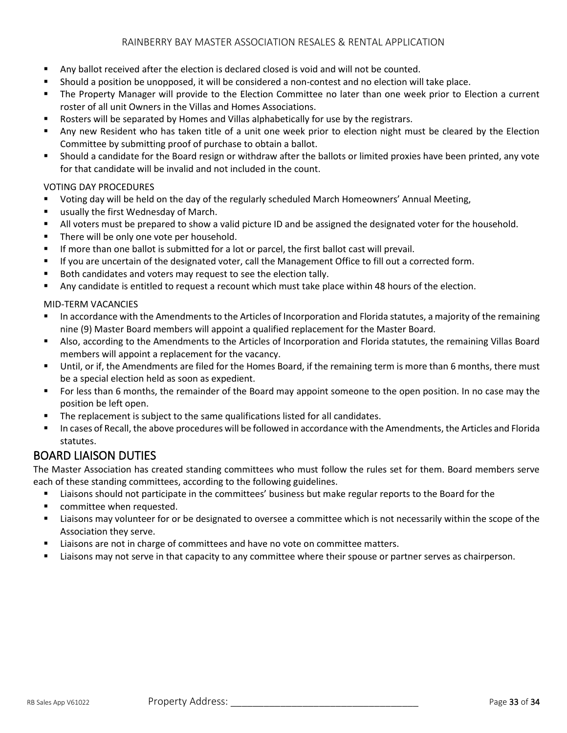- Any ballot received after the election is declared closed is void and will not be counted.
- Should a position be unopposed, it will be considered a non-contest and no election will take place.
- The Property Manager will provide to the Election Committee no later than one week prior to Election a current roster of all unit Owners in the Villas and Homes Associations.
- Rosters will be separated by Homes and Villas alphabetically for use by the registrars.
- Any new Resident who has taken title of a unit one week prior to election night must be cleared by the Election Committee by submitting proof of purchase to obtain a ballot.
- Should a candidate for the Board resign or withdraw after the ballots or limited proxies have been printed, any vote for that candidate will be invalid and not included in the count.

### VOTING DAY PROCEDURES

- Voting day will be held on the day of the regularly scheduled March Homeowners' Annual Meeting,
- usually the first Wednesday of March.
- All voters must be prepared to show a valid picture ID and be assigned the designated voter for the household.
- There will be only one vote per household.
- If more than one ballot is submitted for a lot or parcel, the first ballot cast will prevail.
- If you are uncertain of the designated voter, call the Management Office to fill out a corrected form.
- Both candidates and voters may request to see the election tally.
- Any candidate is entitled to request a recount which must take place within 48 hours of the election.

### MID-TERM VACANCIES

- In accordance with the Amendments to the Articles of Incorporation and Florida statutes, a majority of the remaining nine (9) Master Board members will appoint a qualified replacement for the Master Board.
- Also, according to the Amendments to the Articles of Incorporation and Florida statutes, the remaining Villas Board members will appoint a replacement for the vacancy.
- Until, or if, the Amendments are filed for the Homes Board, if the remaining term is more than 6 months, there must be a special election held as soon as expedient.
- For less than 6 months, the remainder of the Board may appoint someone to the open position. In no case may the position be left open.
- The replacement is subject to the same qualifications listed for all candidates.
- In cases of Recall, the above procedures will be followed in accordance with the Amendments, the Articles and Florida statutes.

# BOARD LIAISON DUTIES

The Master Association has created standing committees who must follow the rules set for them. Board members serve each of these standing committees, according to the following guidelines.

- Liaisons should not participate in the committees' business but make regular reports to the Board for the
- committee when requested.
- Liaisons may volunteer for or be designated to oversee a committee which is not necessarily within the scope of the Association they serve.
- **EXECT** Liaisons are not in charge of committees and have no vote on committee matters.
- Liaisons may not serve in that capacity to any committee where their spouse or partner serves as chairperson.